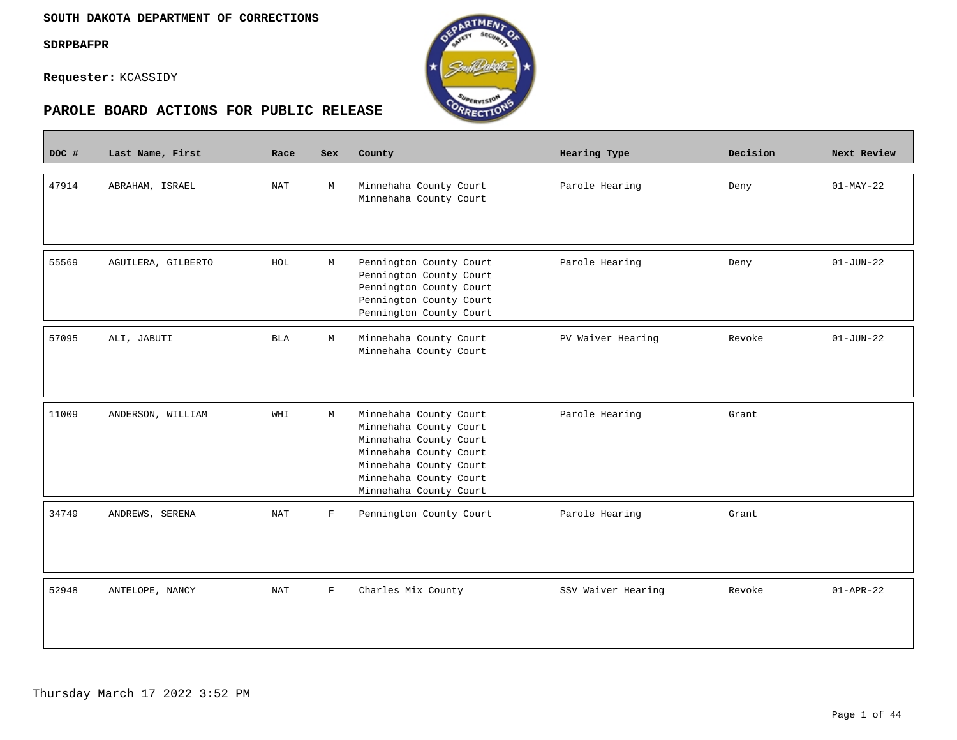$\overline{\phantom{a}}$ 

**Requester:** KCASSIDY



| DOC # | Last Name, First   | Race       | <b>Sex</b>   | County                                                                                                                                                                             | Hearing Type       | Decision | Next Review     |
|-------|--------------------|------------|--------------|------------------------------------------------------------------------------------------------------------------------------------------------------------------------------------|--------------------|----------|-----------------|
| 47914 | ABRAHAM, ISRAEL    | <b>NAT</b> | М            | Minnehaha County Court<br>Minnehaha County Court                                                                                                                                   | Parole Hearing     | Deny     | $01-MAY-22$     |
| 55569 | AGUILERA, GILBERTO | HOL        | М            | Pennington County Court<br>Pennington County Court<br>Pennington County Court<br>Pennington County Court<br>Pennington County Court                                                | Parole Hearing     | Deny     | $01-JUN-22$     |
| 57095 | ALI, JABUTI        | <b>BLA</b> | М            | Minnehaha County Court<br>Minnehaha County Court                                                                                                                                   | PV Waiver Hearing  | Revoke   | $01 - JUN - 22$ |
| 11009 | ANDERSON, WILLIAM  | WHI        | М            | Minnehaha County Court<br>Minnehaha County Court<br>Minnehaha County Court<br>Minnehaha County Court<br>Minnehaha County Court<br>Minnehaha County Court<br>Minnehaha County Court | Parole Hearing     | Grant    |                 |
| 34749 | ANDREWS, SERENA    | <b>NAT</b> | $\mathbf F$  | Pennington County Court                                                                                                                                                            | Parole Hearing     | Grant    |                 |
| 52948 | ANTELOPE, NANCY    | <b>NAT</b> | $\mathbf{F}$ | Charles Mix County                                                                                                                                                                 | SSV Waiver Hearing | Revoke   | $01 - APR - 22$ |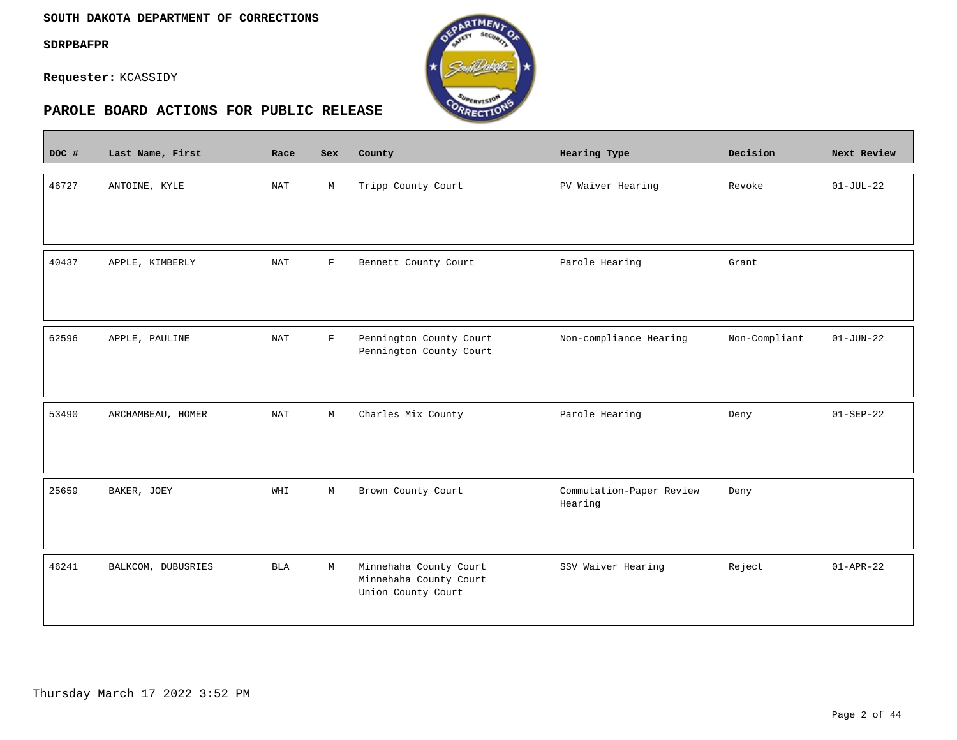$\overline{\phantom{a}}$ 

**Requester:** KCASSIDY



| DOC # | Last Name, First   | Race       | <b>Sex</b>   | County                                                                 | Hearing Type                        | Decision      | Next Review     |
|-------|--------------------|------------|--------------|------------------------------------------------------------------------|-------------------------------------|---------------|-----------------|
| 46727 | ANTOINE, KYLE      | NAT        | М            | Tripp County Court                                                     | PV Waiver Hearing                   | Revoke        | $01-JUL-22$     |
| 40437 | APPLE, KIMBERLY    | <b>NAT</b> | $\mathbf{F}$ | Bennett County Court                                                   | Parole Hearing                      | Grant         |                 |
| 62596 | APPLE, PAULINE     | <b>NAT</b> | $\mathbf F$  | Pennington County Court<br>Pennington County Court                     | Non-compliance Hearing              | Non-Compliant | $01 - JUN - 22$ |
| 53490 | ARCHAMBEAU, HOMER  | <b>NAT</b> | М            | Charles Mix County                                                     | Parole Hearing                      | Deny          | $01 - SEP - 22$ |
| 25659 | BAKER, JOEY        | WHI        | М            | Brown County Court                                                     | Commutation-Paper Review<br>Hearing | Deny          |                 |
| 46241 | BALKCOM, DUBUSRIES | <b>BLA</b> | M            | Minnehaha County Court<br>Minnehaha County Court<br>Union County Court | SSV Waiver Hearing                  | Reject        | $01 - APR - 22$ |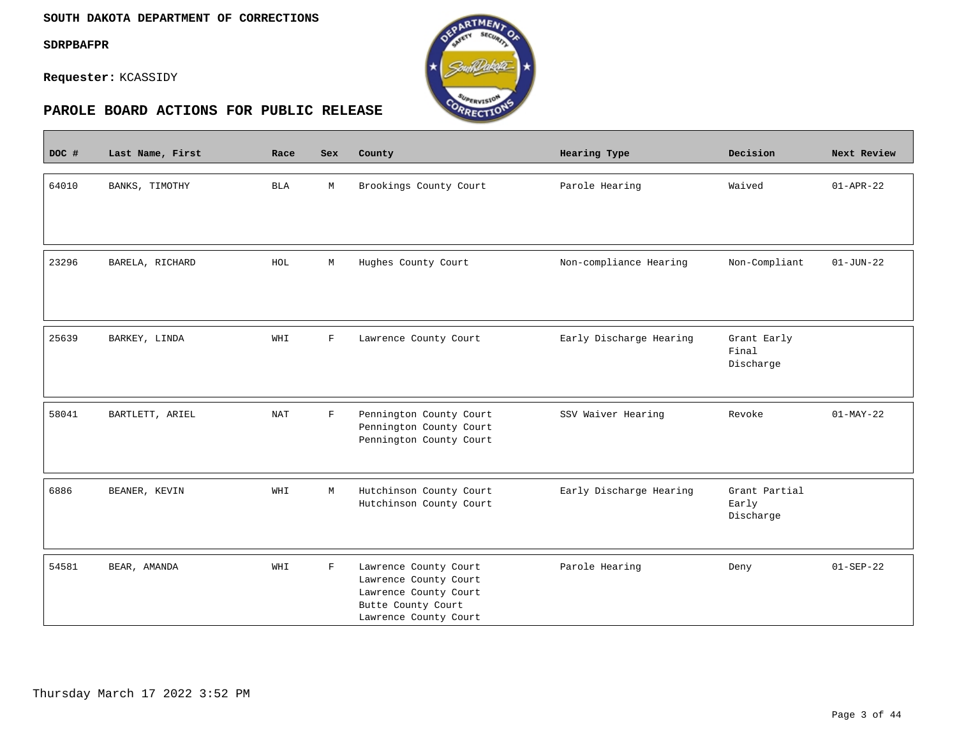$\overline{\phantom{a}}$ 

**Requester:** KCASSIDY



| DOC # | Last Name, First | Race       | Sex          | County                                                                                                                 | Hearing Type            | Decision                            | Next Review     |
|-------|------------------|------------|--------------|------------------------------------------------------------------------------------------------------------------------|-------------------------|-------------------------------------|-----------------|
| 64010 | BANKS, TIMOTHY   | <b>BLA</b> | М            | Brookings County Court                                                                                                 | Parole Hearing          | Waived                              | $01 - APR - 22$ |
| 23296 | BARELA, RICHARD  | HOL        | М            | Hughes County Court                                                                                                    | Non-compliance Hearing  | Non-Compliant                       | $01 - JUN - 22$ |
| 25639 | BARKEY, LINDA    | WHI        | $\mathbf{F}$ | Lawrence County Court                                                                                                  | Early Discharge Hearing | Grant Early<br>Final<br>Discharge   |                 |
| 58041 | BARTLETT, ARIEL  | <b>NAT</b> | $\mathbf F$  | Pennington County Court<br>Pennington County Court<br>Pennington County Court                                          | SSV Waiver Hearing      | Revoke                              | $01-MAY-22$     |
| 6886  | BEANER, KEVIN    | WHI        | М            | Hutchinson County Court<br>Hutchinson County Court                                                                     | Early Discharge Hearing | Grant Partial<br>Early<br>Discharge |                 |
| 54581 | BEAR, AMANDA     | WHI        | $\mathbf F$  | Lawrence County Court<br>Lawrence County Court<br>Lawrence County Court<br>Butte County Court<br>Lawrence County Court | Parole Hearing          | Deny                                | $01 - SEP - 22$ |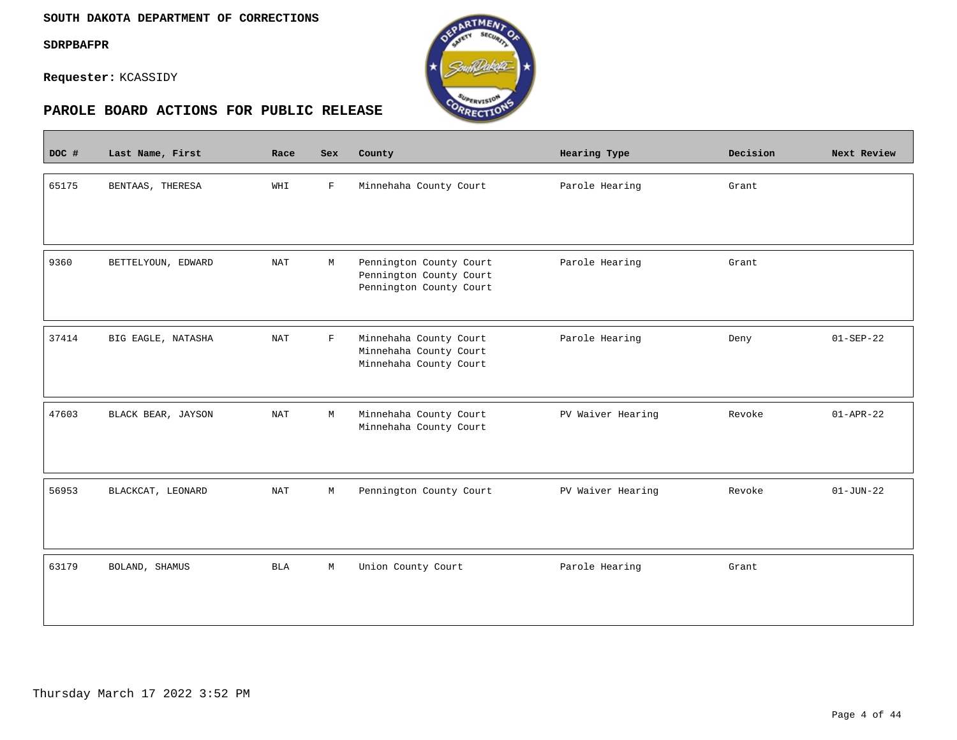#### **SOUTH DAKOTA DEPARTMENT OF CORRECTIONS**

**SDRPBAFPR**

 $\overline{\phantom{a}}$ 

**Requester:** KCASSIDY



| DOC # | Last Name, First   | Race | Sex         | County                                                                        | Hearing Type      | Decision | Next Review     |
|-------|--------------------|------|-------------|-------------------------------------------------------------------------------|-------------------|----------|-----------------|
| 65175 | BENTAAS, THERESA   | WHI  | F           | Minnehaha County Court                                                        | Parole Hearing    | Grant    |                 |
| 9360  | BETTELYOUN, EDWARD | NAT  | М           | Pennington County Court<br>Pennington County Court<br>Pennington County Court | Parole Hearing    | Grant    |                 |
| 37414 | BIG EAGLE, NATASHA | NAT  | $\mathbf F$ | Minnehaha County Court<br>Minnehaha County Court<br>Minnehaha County Court    | Parole Hearing    | Deny     | $01-SEP-22$     |
| 47603 | BLACK BEAR, JAYSON | NAT  | М           | Minnehaha County Court<br>Minnehaha County Court                              | PV Waiver Hearing | Revoke   | $01 - APR - 22$ |
| 56953 | BLACKCAT, LEONARD  | NAT  | М           | Pennington County Court                                                       | PV Waiver Hearing | Revoke   | $01 - JUN - 22$ |
| 63179 | BOLAND, SHAMUS     | BLA  | M           | Union County Court                                                            | Parole Hearing    | Grant    |                 |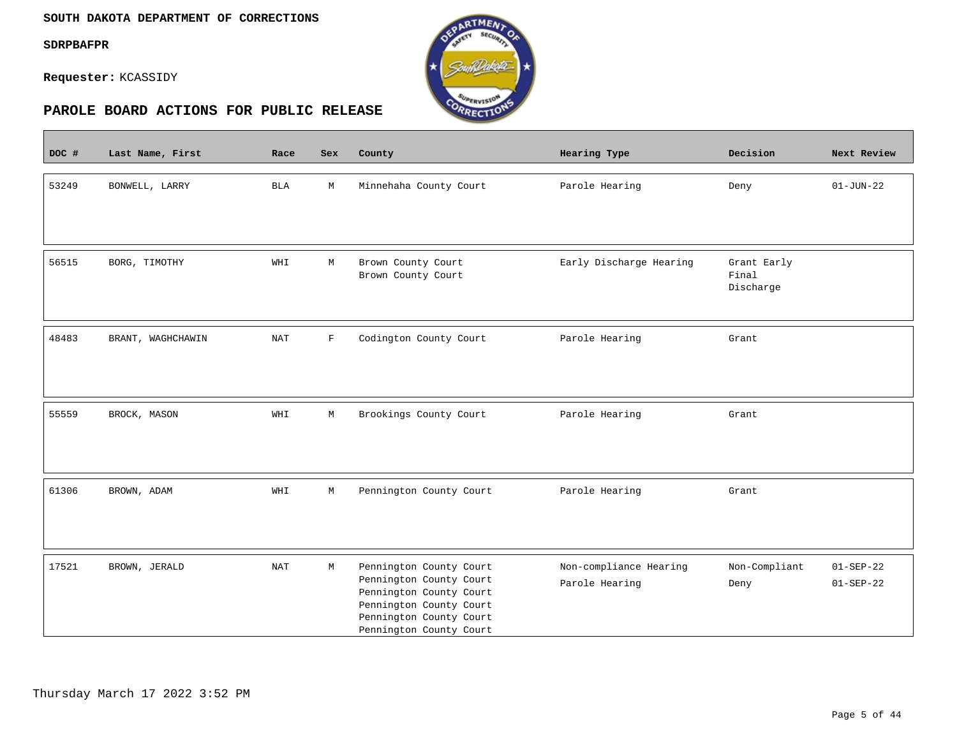#### **SOUTH DAKOTA DEPARTMENT OF CORRECTIONS**

**SDRPBAFPR**

 $\overline{\phantom{a}}$ 

**Requester:** KCASSIDY



| DOC # | Last Name, First                   | Race       | Sex         | County                                                                                                                                                         | Hearing Type                             | Decision                          | Next Review                        |
|-------|------------------------------------|------------|-------------|----------------------------------------------------------------------------------------------------------------------------------------------------------------|------------------------------------------|-----------------------------------|------------------------------------|
| 53249 | BONWELL, LARRY                     | <b>BLA</b> | $\mathbb M$ | Minnehaha County Court                                                                                                                                         | Parole Hearing                           | Deny                              | $01 - JUN - 22$                    |
| 56515 | BORG, TIMOTHY                      | WHI        | М           | Brown County Court<br>Brown County Court                                                                                                                       | Early Discharge Hearing                  | Grant Early<br>Final<br>Discharge |                                    |
| 48483 | BRANT, WAGHCHAWIN                  | NAT        | F           | Codington County Court                                                                                                                                         | Parole Hearing                           | Grant                             |                                    |
| 55559 | BROCK, MASON                       | WHI        | М           | Brookings County Court                                                                                                                                         | Parole Hearing                           | Grant                             |                                    |
| 61306 | $\texttt{BROWN}$ , $\texttt{ADAM}$ | WHI        | M           | Pennington County Court                                                                                                                                        | Parole Hearing                           | Grant                             |                                    |
| 17521 | BROWN, JERALD                      | NAT        | М           | Pennington County Court<br>Pennington County Court<br>Pennington County Court<br>Pennington County Court<br>Pennington County Court<br>Pennington County Court | Non-compliance Hearing<br>Parole Hearing | Non-Compliant<br>Deny             | $01 - SEP - 22$<br>$01 - SEP - 22$ |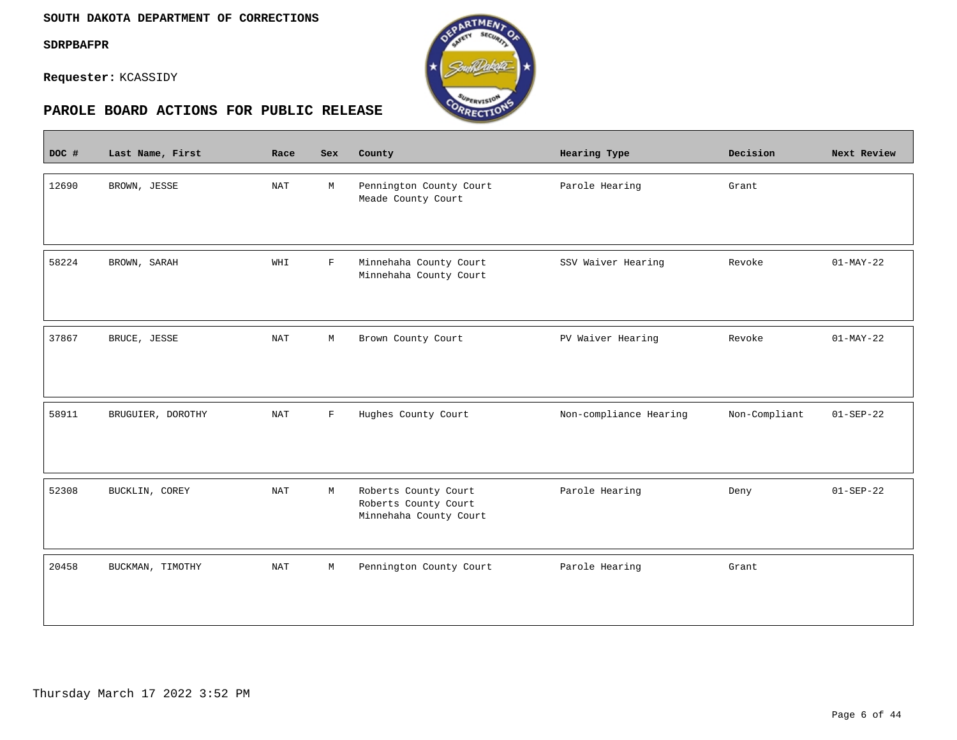$\mathcal{L}^{\text{max}}_{\text{max}}$ 

**Requester:** KCASSIDY



| DOC # | Last Name, First  | Race                 | Sex          | County                                                                 | Hearing Type           | Decision      | Next Review     |
|-------|-------------------|----------------------|--------------|------------------------------------------------------------------------|------------------------|---------------|-----------------|
| 12690 | BROWN, JESSE      | <b>NAT</b>           | М            | Pennington County Court<br>Meade County Court                          | Parole Hearing         | Grant         |                 |
| 58224 | BROWN, SARAH      | WHI                  | $\mathbf F$  | Minnehaha County Court<br>Minnehaha County Court                       | SSV Waiver Hearing     | Revoke        | $01-MAY-22$     |
| 37867 | BRUCE, JESSE      | <b>NAT</b>           | М            | Brown County Court                                                     | PV Waiver Hearing      | Revoke        | $01-MAY-22$     |
| 58911 | BRUGUIER, DOROTHY | <b>NAT</b>           | $\mathbf{F}$ | Hughes County Court                                                    | Non-compliance Hearing | Non-Compliant | $01 - SEP - 22$ |
| 52308 | BUCKLIN, COREY    | <b>NAT</b>           | М            | Roberts County Court<br>Roberts County Court<br>Minnehaha County Court | Parole Hearing         | Deny          | $01 - SEP - 22$ |
| 20458 | BUCKMAN, TIMOTHY  | $\operatorname{NAT}$ | М            | Pennington County Court                                                | Parole Hearing         | Grant         |                 |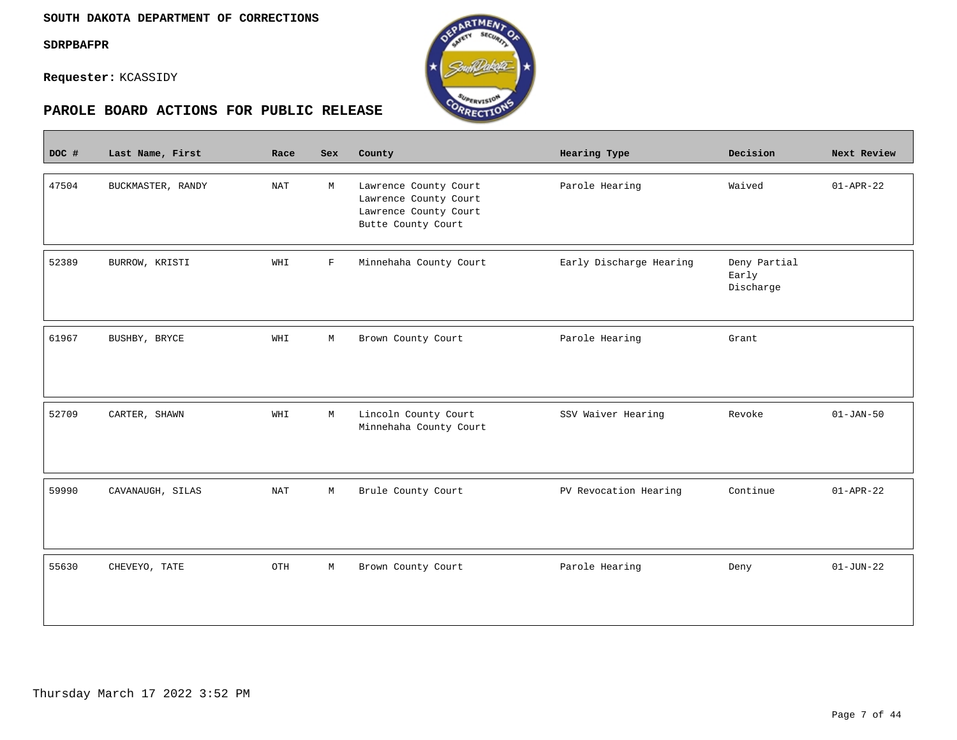$\overline{\phantom{a}}$ 

**Requester:** KCASSIDY



| DOC # | Last Name, First  | Race                 | Sex          | County                                                                                        | Hearing Type            | Decision                           | Next Review     |
|-------|-------------------|----------------------|--------------|-----------------------------------------------------------------------------------------------|-------------------------|------------------------------------|-----------------|
| 47504 | BUCKMASTER, RANDY | <b>NAT</b>           | М            | Lawrence County Court<br>Lawrence County Court<br>Lawrence County Court<br>Butte County Court | Parole Hearing          | Waived                             | $01 - APR - 22$ |
| 52389 | BURROW, KRISTI    | WHI                  | $\mathbf{F}$ | Minnehaha County Court                                                                        | Early Discharge Hearing | Deny Partial<br>Early<br>Discharge |                 |
| 61967 | BUSHBY, BRYCE     | WHI                  | М            | Brown County Court                                                                            | Parole Hearing          | Grant                              |                 |
| 52709 | CARTER, SHAWN     | WHI                  | М            | Lincoln County Court<br>Minnehaha County Court                                                | SSV Waiver Hearing      | Revoke                             | $01 - JAN - 50$ |
| 59990 | CAVANAUGH, SILAS  | $\operatorname{NAT}$ | М            | Brule County Court                                                                            | PV Revocation Hearing   | Continue                           | $01 - APR - 22$ |
| 55630 | CHEVEYO, TATE     | OTH                  | М            | Brown County Court                                                                            | Parole Hearing          | Deny                               | $01 - JUN - 22$ |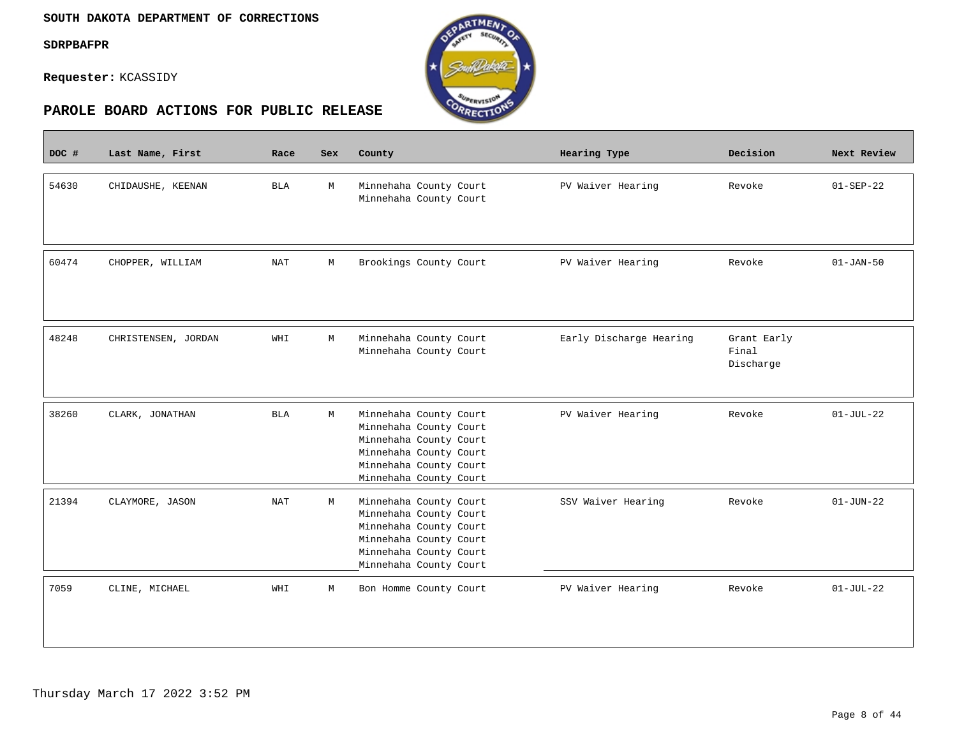$\overline{\phantom{a}}$ 

**Requester:** KCASSIDY



| DOC # | Last Name, First    | Race       | Sex | County                                                                                                                                                   | Hearing Type            | Decision                          | Next Review     |
|-------|---------------------|------------|-----|----------------------------------------------------------------------------------------------------------------------------------------------------------|-------------------------|-----------------------------------|-----------------|
| 54630 | CHIDAUSHE, KEENAN   | <b>BLA</b> | M   | Minnehaha County Court<br>Minnehaha County Court                                                                                                         | PV Waiver Hearing       | Revoke                            | $01-SEP-22$     |
| 60474 | CHOPPER, WILLIAM    | <b>NAT</b> | M   | Brookings County Court                                                                                                                                   | PV Waiver Hearing       | Revoke                            | $01 - JAN - 50$ |
| 48248 | CHRISTENSEN, JORDAN | WHI        | M   | Minnehaha County Court<br>Minnehaha County Court                                                                                                         | Early Discharge Hearing | Grant Early<br>Final<br>Discharge |                 |
| 38260 | CLARK, JONATHAN     | <b>BLA</b> | M   | Minnehaha County Court<br>Minnehaha County Court<br>Minnehaha County Court<br>Minnehaha County Court<br>Minnehaha County Court<br>Minnehaha County Court | PV Waiver Hearing       | Revoke                            | $01-JUL-22$     |
| 21394 | CLAYMORE, JASON     | <b>NAT</b> | М   | Minnehaha County Court<br>Minnehaha County Court<br>Minnehaha County Court<br>Minnehaha County Court<br>Minnehaha County Court<br>Minnehaha County Court | SSV Waiver Hearing      | Revoke                            | $01 - JUN - 22$ |
| 7059  | CLINE, MICHAEL      | WHI        | M   | Bon Homme County Court                                                                                                                                   | PV Waiver Hearing       | Revoke                            | $01-JUL-22$     |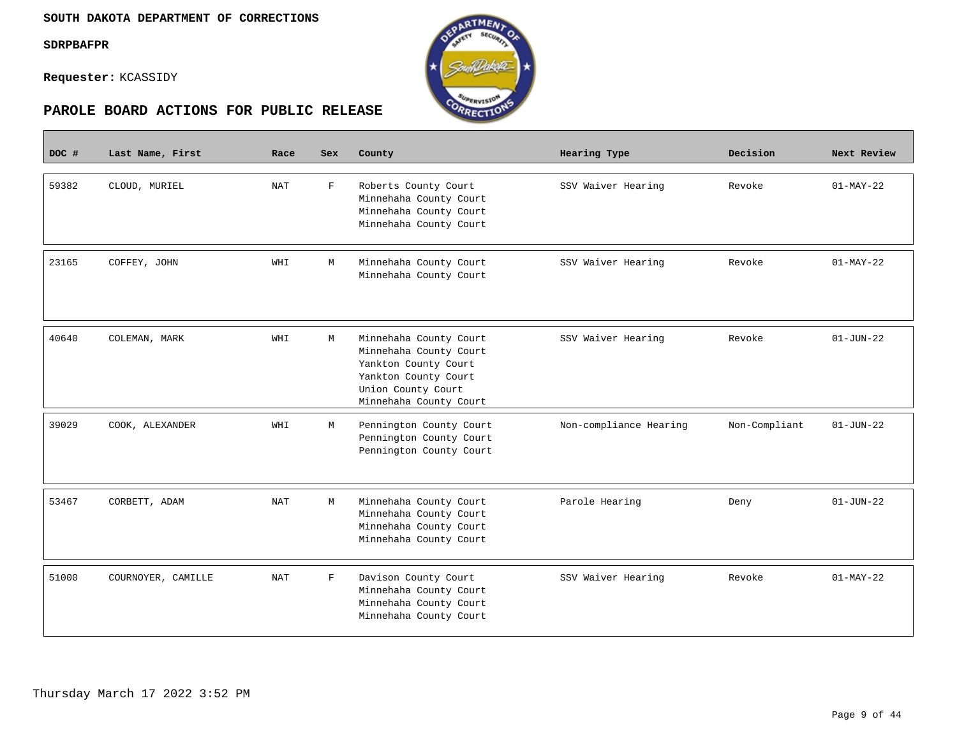Г

**Requester:** KCASSIDY



| DOC # | Last Name, First   | Race       | <b>Sex</b>  | County                                                                                                                                           | Hearing Type           | Decision      | Next Review     |
|-------|--------------------|------------|-------------|--------------------------------------------------------------------------------------------------------------------------------------------------|------------------------|---------------|-----------------|
| 59382 | CLOUD, MURIEL      | <b>NAT</b> | F           | Roberts County Court<br>Minnehaha County Court<br>Minnehaha County Court<br>Minnehaha County Court                                               | SSV Waiver Hearing     | Revoke        | $01-MAY-22$     |
| 23165 | COFFEY, JOHN       | WHI        | M           | Minnehaha County Court<br>Minnehaha County Court                                                                                                 | SSV Waiver Hearing     | Revoke        | $01-MAY-22$     |
| 40640 | COLEMAN, MARK      | WHI        | M           | Minnehaha County Court<br>Minnehaha County Court<br>Yankton County Court<br>Yankton County Court<br>Union County Court<br>Minnehaha County Court | SSV Waiver Hearing     | Revoke        | $01 - JUN - 22$ |
| 39029 | COOK, ALEXANDER    | WHI        | М           | Pennington County Court<br>Pennington County Court<br>Pennington County Court                                                                    | Non-compliance Hearing | Non-Compliant | $01 - JUN - 22$ |
| 53467 | CORBETT, ADAM      | NAT        | М           | Minnehaha County Court<br>Minnehaha County Court<br>Minnehaha County Court<br>Minnehaha County Court                                             | Parole Hearing         | Deny          | $01 - JUN - 22$ |
| 51000 | COURNOYER, CAMILLE | NAT        | $\mathbf F$ | Davison County Court<br>Minnehaha County Court<br>Minnehaha County Court<br>Minnehaha County Court                                               | SSV Waiver Hearing     | Revoke        | $01-MAY-22$     |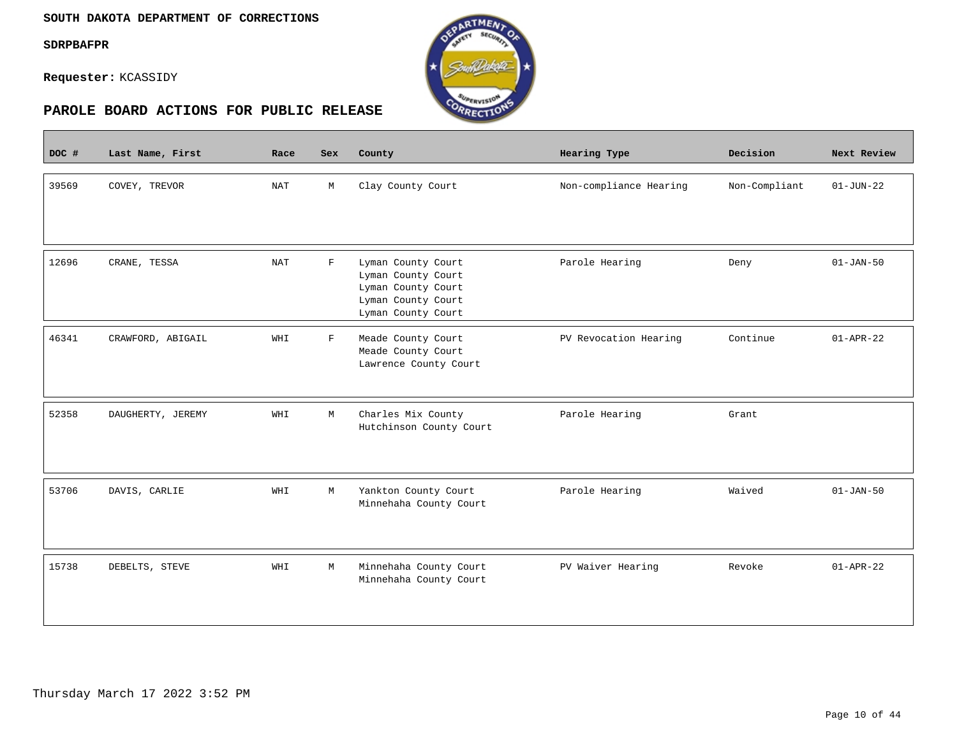#### **SOUTH DAKOTA DEPARTMENT OF CORRECTIONS**

**SDRPBAFPR**

 $\overline{\phantom{a}}$ 

**Requester:** KCASSIDY



| DOC # | Last Name, First  | Race       | Sex         | County                                                                                                     | Hearing Type           | Decision      | Next Review     |
|-------|-------------------|------------|-------------|------------------------------------------------------------------------------------------------------------|------------------------|---------------|-----------------|
| 39569 | COVEY, TREVOR     | NAT        | М           | Clay County Court                                                                                          | Non-compliance Hearing | Non-Compliant | $01 - JUN - 22$ |
| 12696 | CRANE, TESSA      | <b>NAT</b> | $\mathbf F$ | Lyman County Court<br>Lyman County Court<br>Lyman County Court<br>Lyman County Court<br>Lyman County Court | Parole Hearing         | Deny          | $01 - JAN - 50$ |
| 46341 | CRAWFORD, ABIGAIL | WHI        | $\mathbf F$ | Meade County Court<br>Meade County Court<br>Lawrence County Court                                          | PV Revocation Hearing  | Continue      | $01 - APR - 22$ |
| 52358 | DAUGHERTY, JEREMY | WHI        | М           | Charles Mix County<br>Hutchinson County Court                                                              | Parole Hearing         | Grant         |                 |
| 53706 | DAVIS, CARLIE     | WHI        | M           | Yankton County Court<br>Minnehaha County Court                                                             | Parole Hearing         | Waived        | $01 - JAN - 50$ |
| 15738 | DEBELTS, STEVE    | WHI        | М           | Minnehaha County Court<br>Minnehaha County Court                                                           | PV Waiver Hearing      | Revoke        | $01 - APR - 22$ |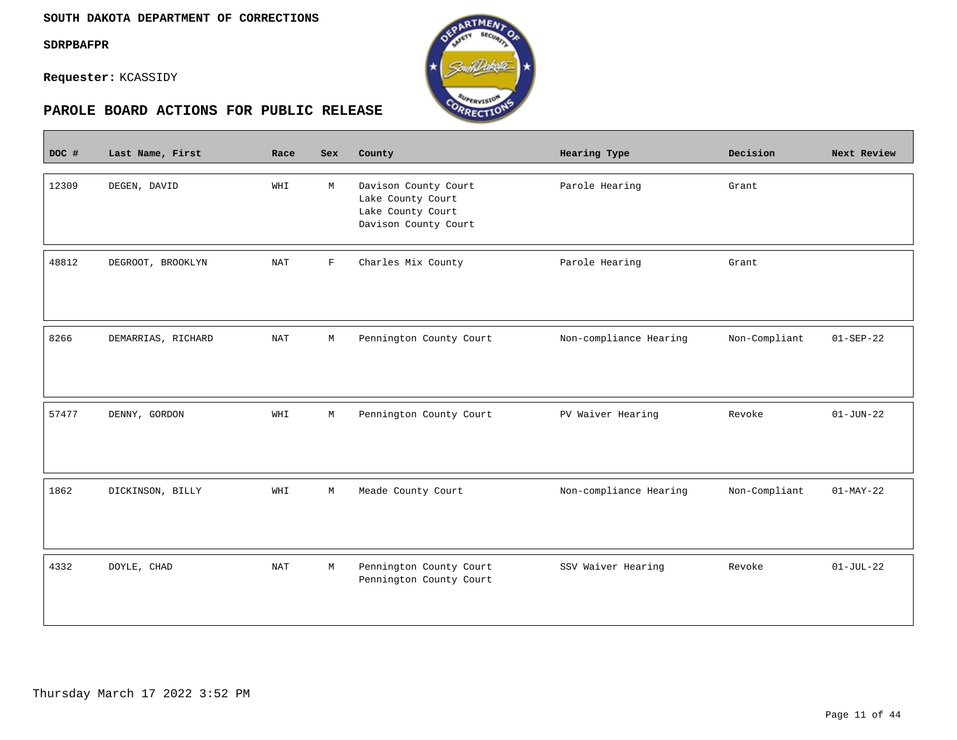$\sim$ 

**Requester:** KCASSIDY



| DOC # | Last Name, First   | Race       | <b>Sex</b>  | County                                                                                 | Hearing Type           | Decision      | Next Review     |
|-------|--------------------|------------|-------------|----------------------------------------------------------------------------------------|------------------------|---------------|-----------------|
| 12309 | DEGEN, DAVID       | WHI        | M           | Davison County Court<br>Lake County Court<br>Lake County Court<br>Davison County Court | Parole Hearing         | Grant         |                 |
| 48812 | DEGROOT, BROOKLYN  | <b>NAT</b> | $\mathbf F$ | Charles Mix County                                                                     | Parole Hearing         | Grant         |                 |
| 8266  | DEMARRIAS, RICHARD | <b>NAT</b> | М           | Pennington County Court                                                                | Non-compliance Hearing | Non-Compliant | $01 - SEP - 22$ |
| 57477 | DENNY, GORDON      | WHI        | М           | Pennington County Court                                                                | PV Waiver Hearing      | Revoke        | $01 - JUN - 22$ |
| 1862  | DICKINSON, BILLY   | WHI        | М           | Meade County Court                                                                     | Non-compliance Hearing | Non-Compliant | $01-MAY-22$     |
| 4332  | DOYLE, CHAD        | <b>NAT</b> | М           | Pennington County Court<br>Pennington County Court                                     | SSV Waiver Hearing     | Revoke        | $01-JUL-22$     |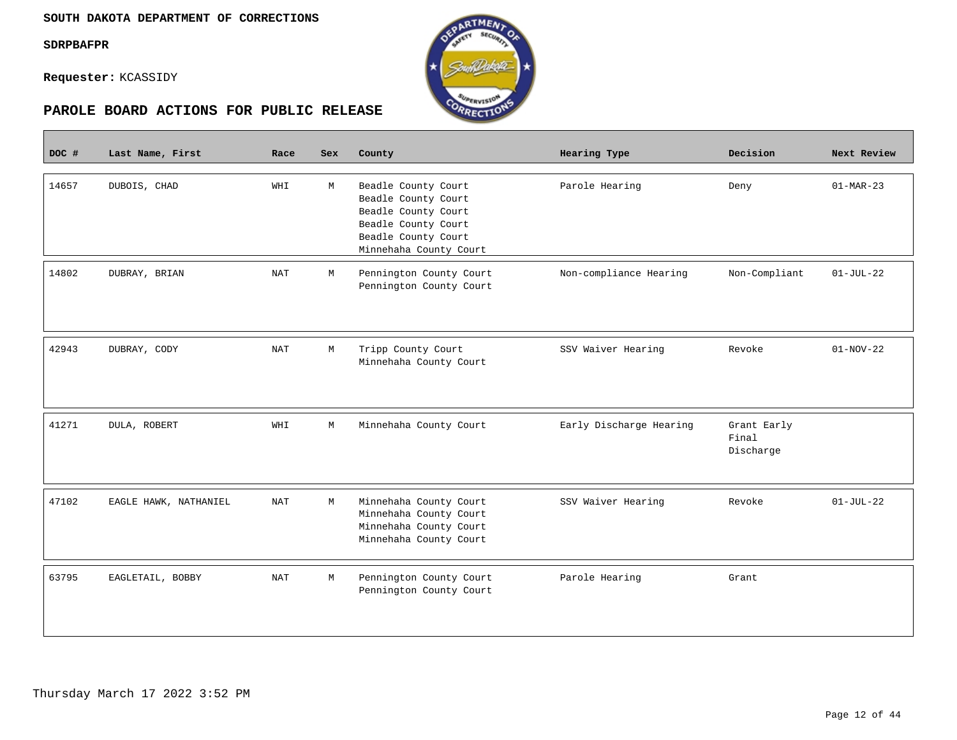$\mathcal{L}^{\text{max}}_{\text{max}}$ 

**Requester:** KCASSIDY



| DOC # | Last Name, First      | Race                 | <b>Sex</b> | County                                                                                                                                    | <b>Hearing Type</b>     | Decision                          | Next Review     |
|-------|-----------------------|----------------------|------------|-------------------------------------------------------------------------------------------------------------------------------------------|-------------------------|-----------------------------------|-----------------|
| 14657 | DUBOIS, CHAD          | WHI                  | М          | Beadle County Court<br>Beadle County Court<br>Beadle County Court<br>Beadle County Court<br>Beadle County Court<br>Minnehaha County Court | Parole Hearing          | Deny                              | $01-MAR-23$     |
| 14802 | DUBRAY, BRIAN         | <b>NAT</b>           | М          | Pennington County Court<br>Pennington County Court                                                                                        | Non-compliance Hearing  | Non-Compliant                     | $01-JUL-22$     |
| 42943 | DUBRAY, CODY          | $\operatorname{NAT}$ | M          | Tripp County Court<br>Minnehaha County Court                                                                                              | SSV Waiver Hearing      | Revoke                            | $01 - NOV - 22$ |
| 41271 | DULA, ROBERT          | WHI                  | М          | Minnehaha County Court                                                                                                                    | Early Discharge Hearing | Grant Early<br>Final<br>Discharge |                 |
| 47102 | EAGLE HAWK, NATHANIEL | NAT                  | M          | Minnehaha County Court<br>Minnehaha County Court<br>Minnehaha County Court<br>Minnehaha County Court                                      | SSV Waiver Hearing      | Revoke                            | $01-JUL-22$     |
| 63795 | EAGLETAIL, BOBBY      | <b>NAT</b>           | М          | Pennington County Court<br>Pennington County Court                                                                                        | Parole Hearing          | Grant                             |                 |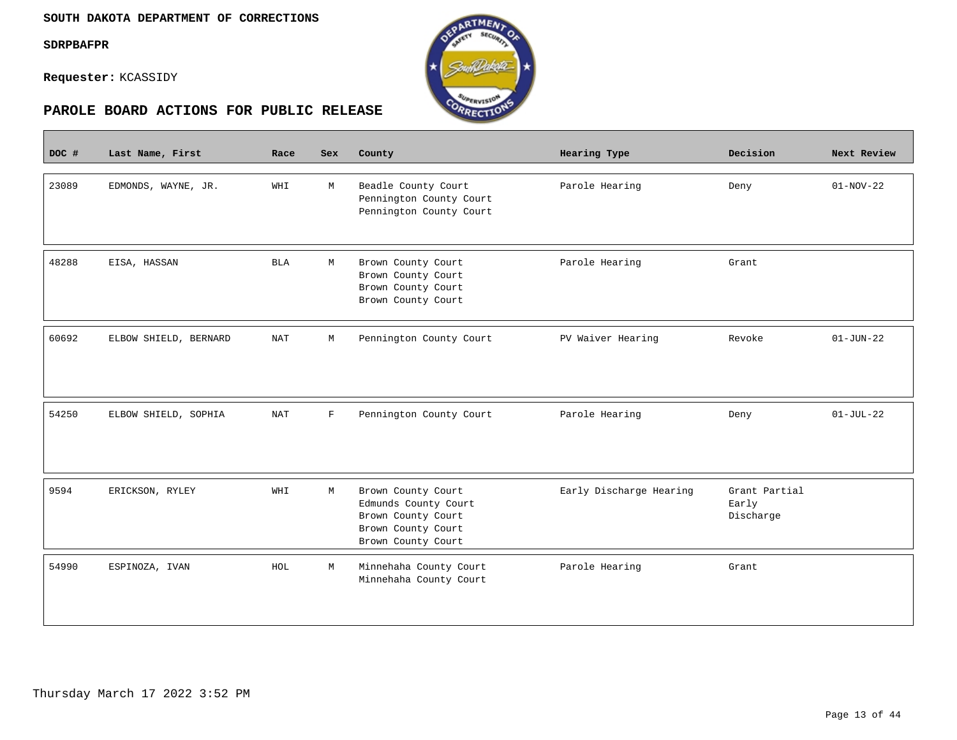$\overline{\phantom{a}}$ 

**Requester:** KCASSIDY



| DOC # | Last Name, First      | Race       | <b>Sex</b>   | County                                                                                                       | Hearing Type            | Decision                            | Next Review     |
|-------|-----------------------|------------|--------------|--------------------------------------------------------------------------------------------------------------|-------------------------|-------------------------------------|-----------------|
| 23089 | EDMONDS, WAYNE, JR.   | WHI        | M            | Beadle County Court<br>Pennington County Court<br>Pennington County Court                                    | Parole Hearing          | Deny                                | $01-NOV-22$     |
| 48288 | EISA, HASSAN          | <b>BLA</b> | М            | Brown County Court<br>Brown County Court<br>Brown County Court<br>Brown County Court                         | Parole Hearing          | Grant                               |                 |
| 60692 | ELBOW SHIELD, BERNARD | <b>NAT</b> | М            | Pennington County Court                                                                                      | PV Waiver Hearing       | Revoke                              | $01 - JUN - 22$ |
| 54250 | ELBOW SHIELD, SOPHIA  | <b>NAT</b> | $\mathbf{F}$ | Pennington County Court                                                                                      | Parole Hearing          | Deny                                | $01-JUL-22$     |
| 9594  | ERICKSON, RYLEY       | WHI        | M            | Brown County Court<br>Edmunds County Court<br>Brown County Court<br>Brown County Court<br>Brown County Court | Early Discharge Hearing | Grant Partial<br>Early<br>Discharge |                 |
| 54990 | ESPINOZA, IVAN        | HOL        | М            | Minnehaha County Court<br>Minnehaha County Court                                                             | Parole Hearing          | Grant                               |                 |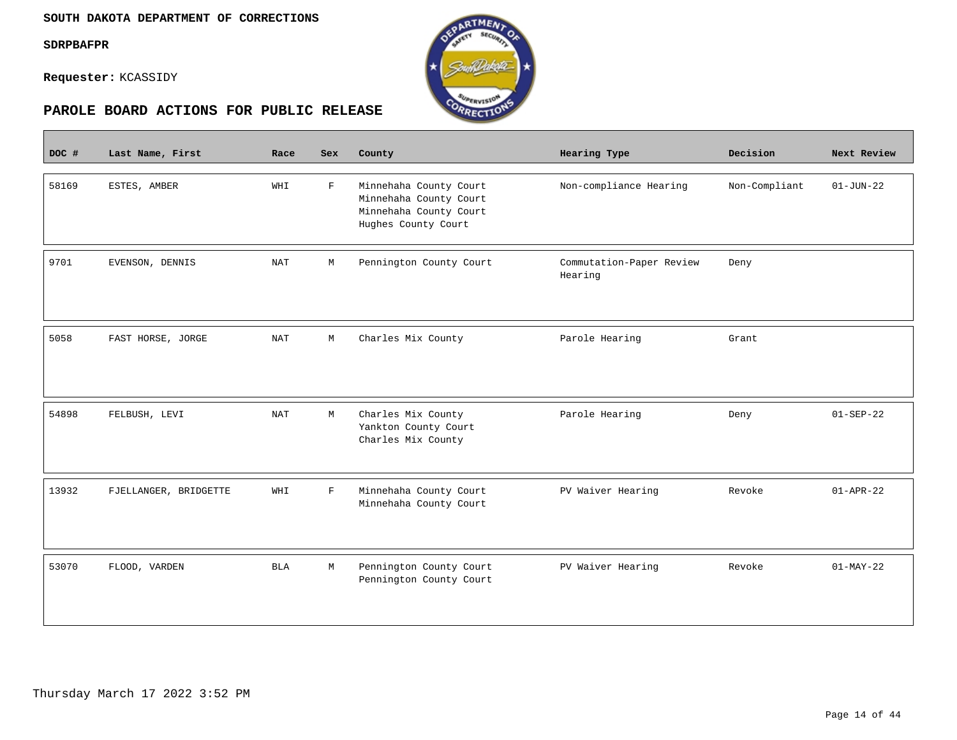$\mathcal{L}^{\text{max}}_{\text{max}}$ 

**Requester:** KCASSIDY



| DOC # | Last Name, First      | Race                 | Sex         | County                                                                                            | Hearing Type                        | Decision      | Next Review     |
|-------|-----------------------|----------------------|-------------|---------------------------------------------------------------------------------------------------|-------------------------------------|---------------|-----------------|
| 58169 | ESTES, AMBER          | WHI                  | $\mathbf F$ | Minnehaha County Court<br>Minnehaha County Court<br>Minnehaha County Court<br>Hughes County Court | Non-compliance Hearing              | Non-Compliant | $01 - JUN - 22$ |
| 9701  | EVENSON, DENNIS       | <b>NAT</b>           | M           | Pennington County Court                                                                           | Commutation-Paper Review<br>Hearing | Deny          |                 |
| 5058  | FAST HORSE, JORGE     | $\operatorname{NAT}$ | М           | Charles Mix County                                                                                | Parole Hearing                      | Grant         |                 |
| 54898 | FELBUSH, LEVI         | <b>NAT</b>           | M           | Charles Mix County<br>Yankton County Court<br>Charles Mix County                                  | Parole Hearing                      | Deny          | $01 - SEP - 22$ |
| 13932 | FJELLANGER, BRIDGETTE | WHI                  | $\mathbf F$ | Minnehaha County Court<br>Minnehaha County Court                                                  | PV Waiver Hearing                   | Revoke        | $01 - APR - 22$ |
| 53070 | FLOOD, VARDEN         | <b>BLA</b>           | М           | Pennington County Court<br>Pennington County Court                                                | PV Waiver Hearing                   | Revoke        | $01-MAY-22$     |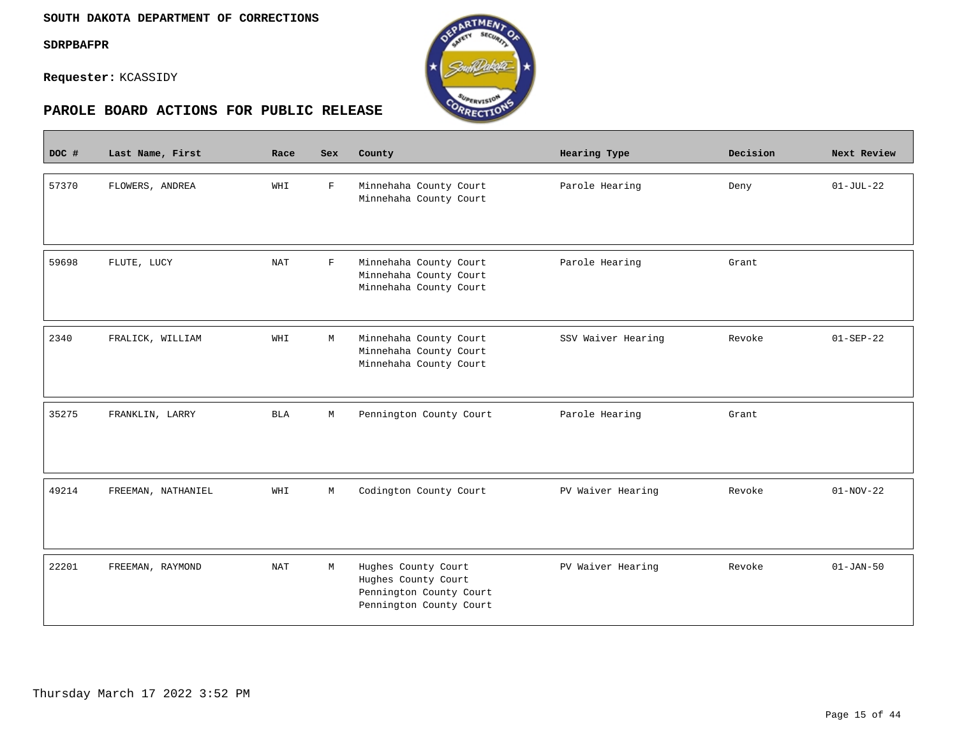$\overline{\phantom{a}}$ 

**Requester:** KCASSIDY



| DOC # | Last Name, First   | Race       | <b>Sex</b>   | County                                                                                           | Hearing Type       | Decision | Next Review     |
|-------|--------------------|------------|--------------|--------------------------------------------------------------------------------------------------|--------------------|----------|-----------------|
| 57370 | FLOWERS, ANDREA    | WHI        | $\mathbf{F}$ | Minnehaha County Court<br>Minnehaha County Court                                                 | Parole Hearing     | Deny     | $01-JUL-22$     |
| 59698 | FLUTE, LUCY        | <b>NAT</b> | $\mathbf{F}$ | Minnehaha County Court<br>Minnehaha County Court<br>Minnehaha County Court                       | Parole Hearing     | Grant    |                 |
| 2340  | FRALICK, WILLIAM   | WHI        | М            | Minnehaha County Court<br>Minnehaha County Court<br>Minnehaha County Court                       | SSV Waiver Hearing | Revoke   | $01 - SEP - 22$ |
| 35275 | FRANKLIN, LARRY    | <b>BLA</b> | М            | Pennington County Court                                                                          | Parole Hearing     | Grant    |                 |
| 49214 | FREEMAN, NATHANIEL | WHI        | М            | Codington County Court                                                                           | PV Waiver Hearing  | Revoke   | $01-NOV-22$     |
| 22201 | FREEMAN, RAYMOND   | <b>NAT</b> | М            | Hughes County Court<br>Hughes County Court<br>Pennington County Court<br>Pennington County Court | PV Waiver Hearing  | Revoke   | $01 - JAN - 50$ |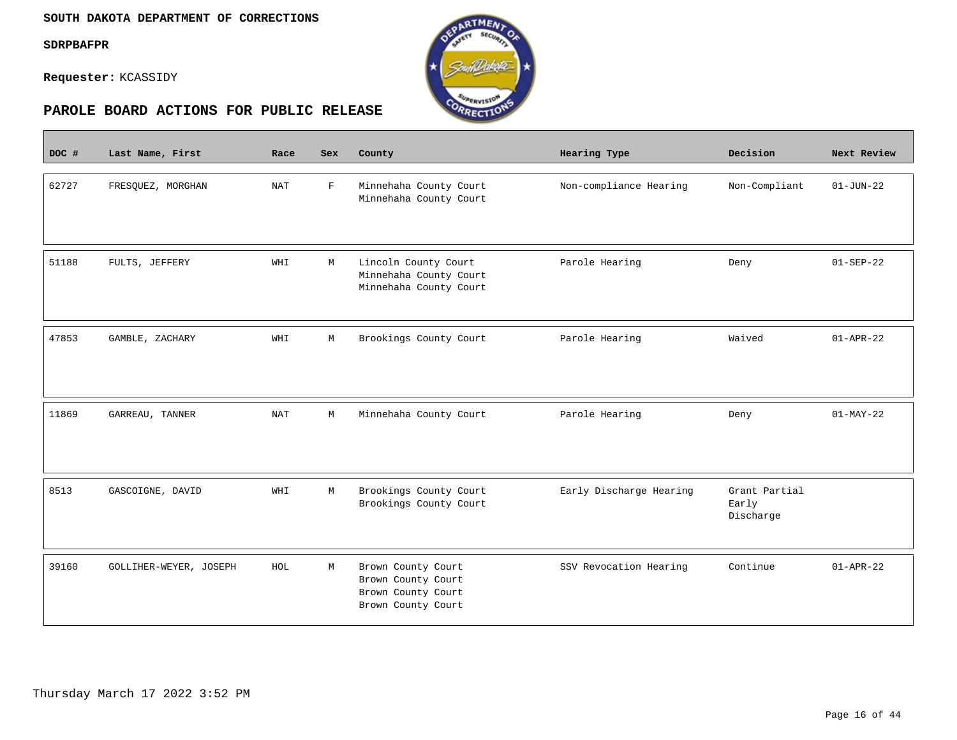$\sim$ 

**Requester:** KCASSIDY



| DOC # | Last Name, First       | Race       | <b>Sex</b>  | County                                                                               | <b>Hearing Type</b>     | Decision                            | Next Review     |
|-------|------------------------|------------|-------------|--------------------------------------------------------------------------------------|-------------------------|-------------------------------------|-----------------|
| 62727 | FRESQUEZ, MORGHAN      | <b>NAT</b> | $\mathbf F$ | Minnehaha County Court<br>Minnehaha County Court                                     | Non-compliance Hearing  | Non-Compliant                       | $01 - JUN - 22$ |
| 51188 | FULTS, JEFFERY         | WHI        | М           | Lincoln County Court<br>Minnehaha County Court<br>Minnehaha County Court             | Parole Hearing          | Deny                                | $01-SEP-22$     |
| 47853 | GAMBLE, ZACHARY        | WHI        | M           | Brookings County Court                                                               | Parole Hearing          | Waived                              | $01 - APR - 22$ |
| 11869 | GARREAU, TANNER        | NAT        | М           | Minnehaha County Court                                                               | Parole Hearing          | Deny                                | $01-MAY-22$     |
| 8513  | GASCOIGNE, DAVID       | WHI        | М           | Brookings County Court<br>Brookings County Court                                     | Early Discharge Hearing | Grant Partial<br>Early<br>Discharge |                 |
| 39160 | GOLLIHER-WEYER, JOSEPH | HOL        | М           | Brown County Court<br>Brown County Court<br>Brown County Court<br>Brown County Court | SSV Revocation Hearing  | Continue                            | $01 - APR - 22$ |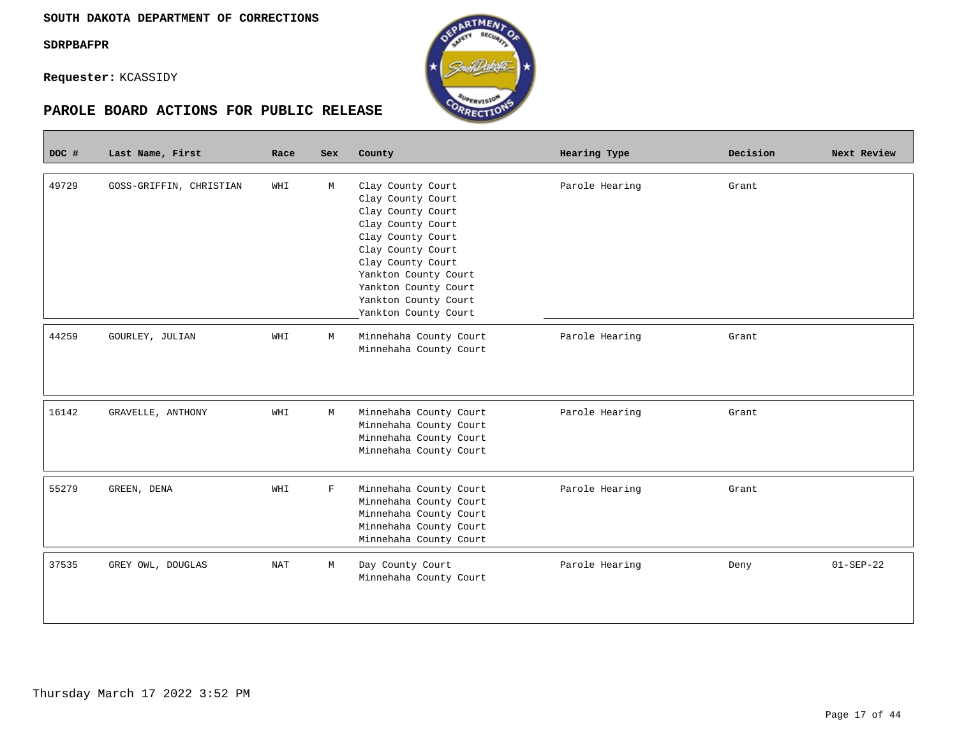**Requester:** KCASSIDY

| DOC # | Last Name, First        | Race       | <b>Sex</b>  | County                                                                                                                                                                                                                                          | Hearing Type   | Decision | Next Review     |
|-------|-------------------------|------------|-------------|-------------------------------------------------------------------------------------------------------------------------------------------------------------------------------------------------------------------------------------------------|----------------|----------|-----------------|
| 49729 | GOSS-GRIFFIN, CHRISTIAN | WHI        | M           | Clay County Court<br>Clay County Court<br>Clay County Court<br>Clay County Court<br>Clay County Court<br>Clay County Court<br>Clay County Court<br>Yankton County Court<br>Yankton County Court<br>Yankton County Court<br>Yankton County Court | Parole Hearing | Grant    |                 |
| 44259 | GOURLEY, JULIAN         | WHI        | M           | Minnehaha County Court<br>Minnehaha County Court                                                                                                                                                                                                | Parole Hearing | Grant    |                 |
| 16142 | GRAVELLE, ANTHONY       | WHI        | M           | Minnehaha County Court<br>Minnehaha County Court<br>Minnehaha County Court<br>Minnehaha County Court                                                                                                                                            | Parole Hearing | Grant    |                 |
| 55279 | GREEN, DENA             | WHI        | $\mathbf F$ | Minnehaha County Court<br>Minnehaha County Court<br>Minnehaha County Court<br>Minnehaha County Court<br>Minnehaha County Court                                                                                                                  | Parole Hearing | Grant    |                 |
| 37535 | GREY OWL, DOUGLAS       | <b>NAT</b> | M           | Day County Court<br>Minnehaha County Court                                                                                                                                                                                                      | Parole Hearing | Deny     | $01 - SEP - 22$ |

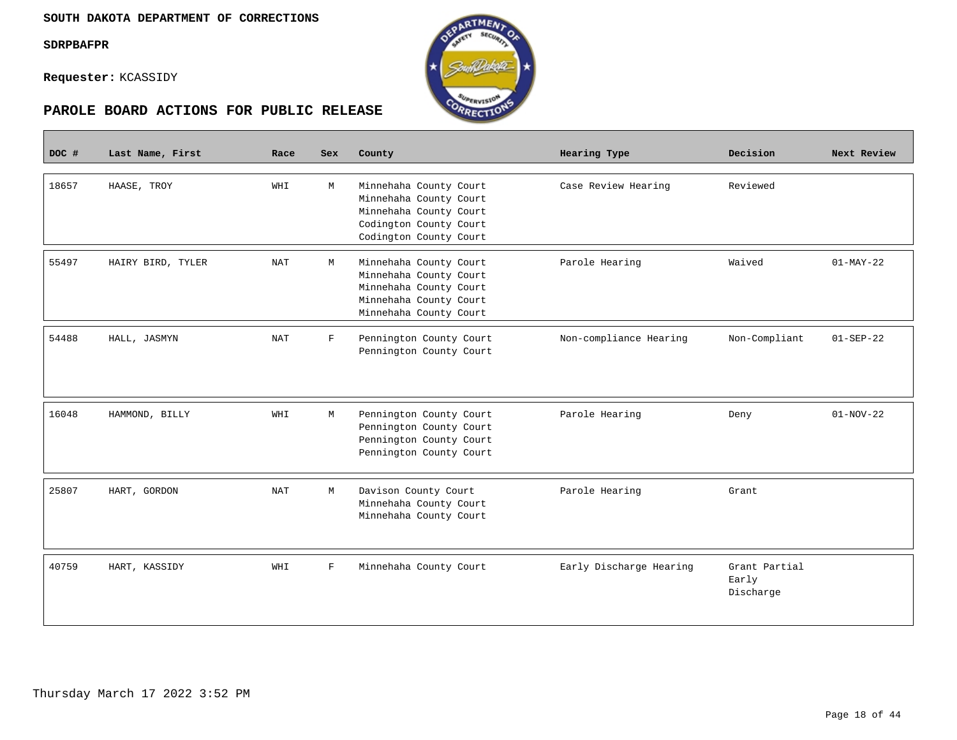$\mathcal{L}^{\text{max}}_{\text{max}}$ 

**Requester:** KCASSIDY



| DOC # | Last Name, First  | Race | Sex         | County                                                                                                                         | Hearing Type            | Decision                            | Next Review     |
|-------|-------------------|------|-------------|--------------------------------------------------------------------------------------------------------------------------------|-------------------------|-------------------------------------|-----------------|
| 18657 | HAASE, TROY       | WHI  | M           | Minnehaha County Court<br>Minnehaha County Court<br>Minnehaha County Court<br>Codington County Court<br>Codington County Court | Case Review Hearing     | Reviewed                            |                 |
| 55497 | HAIRY BIRD, TYLER | NAT  | M           | Minnehaha County Court<br>Minnehaha County Court<br>Minnehaha County Court<br>Minnehaha County Court<br>Minnehaha County Court | Parole Hearing          | Waived                              | $01-MAY-22$     |
| 54488 | HALL, JASMYN      | NAT  | $\mathbf F$ | Pennington County Court<br>Pennington County Court                                                                             | Non-compliance Hearing  | Non-Compliant                       | $01 - SEP - 22$ |
| 16048 | HAMMOND, BILLY    | WHI  | М           | Pennington County Court<br>Pennington County Court<br>Pennington County Court<br>Pennington County Court                       | Parole Hearing          | Deny                                | $01-NOV-22$     |
| 25807 | HART, GORDON      | NAT  | М           | Davison County Court<br>Minnehaha County Court<br>Minnehaha County Court                                                       | Parole Hearing          | Grant                               |                 |
| 40759 | HART, KASSIDY     | WHI  | F           | Minnehaha County Court                                                                                                         | Early Discharge Hearing | Grant Partial<br>Early<br>Discharge |                 |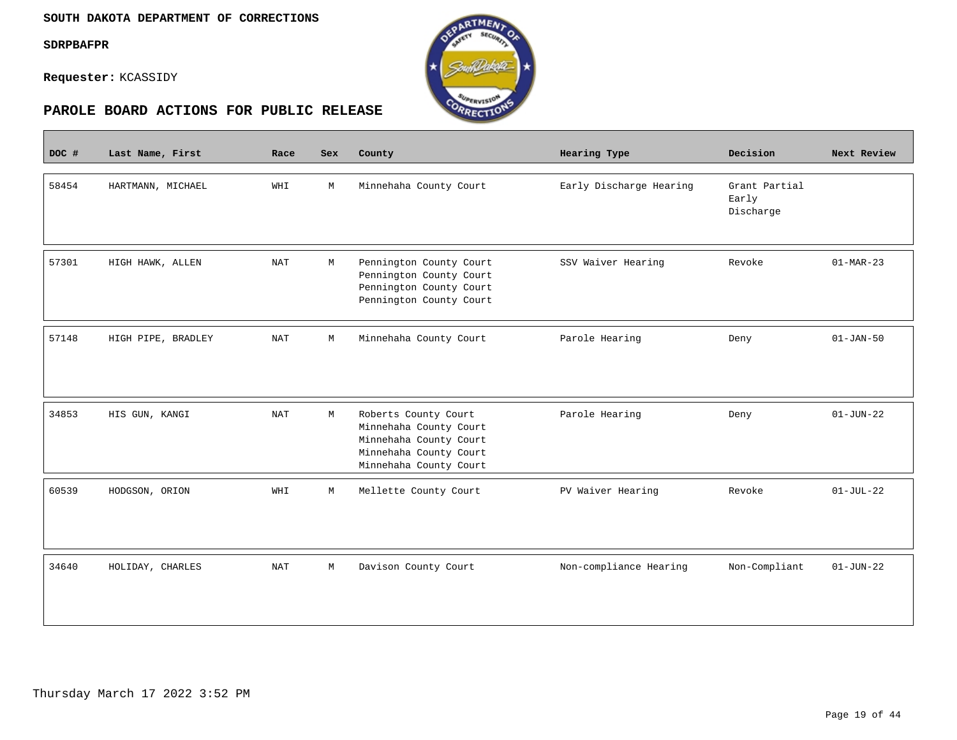$\overline{\phantom{a}}$ 

**Requester:** KCASSIDY



| DOC # | Last Name, First   | Race       | <b>Sex</b> | County                                                                                                                       | Hearing Type            | Decision                            | Next Review     |
|-------|--------------------|------------|------------|------------------------------------------------------------------------------------------------------------------------------|-------------------------|-------------------------------------|-----------------|
| 58454 | HARTMANN, MICHAEL  | WHI        | M          | Minnehaha County Court                                                                                                       | Early Discharge Hearing | Grant Partial<br>Early<br>Discharge |                 |
| 57301 | HIGH HAWK, ALLEN   | <b>NAT</b> | M          | Pennington County Court<br>Pennington County Court<br>Pennington County Court<br>Pennington County Court                     | SSV Waiver Hearing      | Revoke                              | $01-MAR-23$     |
| 57148 | HIGH PIPE, BRADLEY | <b>NAT</b> | М          | Minnehaha County Court                                                                                                       | Parole Hearing          | Deny                                | $01 - JAN - 50$ |
| 34853 | HIS GUN, KANGI     | <b>NAT</b> | М          | Roberts County Court<br>Minnehaha County Court<br>Minnehaha County Court<br>Minnehaha County Court<br>Minnehaha County Court | Parole Hearing          | Deny                                | $01 - JUN - 22$ |
| 60539 | HODGSON, ORION     | WHI        | М          | Mellette County Court                                                                                                        | PV Waiver Hearing       | Revoke                              | $01-JUL-22$     |
| 34640 | HOLIDAY, CHARLES   | <b>NAT</b> | M          | Davison County Court                                                                                                         | Non-compliance Hearing  | Non-Compliant                       | $01 - JUN - 22$ |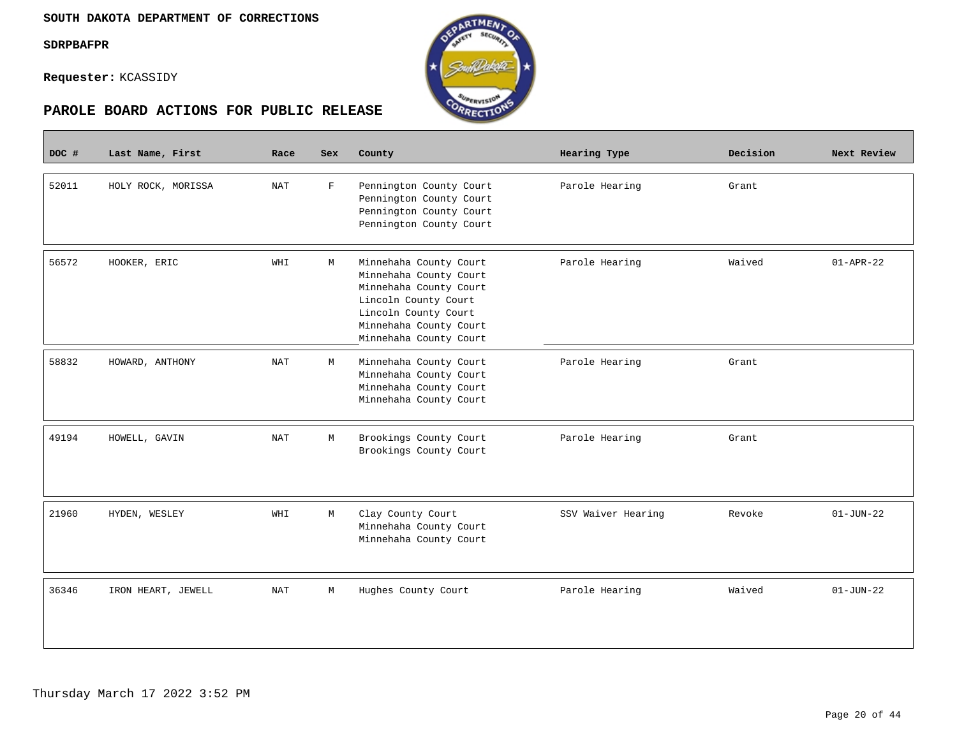**Contract** 

**Requester:** KCASSIDY





| DOC # | Last Name, First   | Race                 | <b>Sex</b>  | County                                                                                                                                                                         | Hearing Type       | Decision | Next Review     |
|-------|--------------------|----------------------|-------------|--------------------------------------------------------------------------------------------------------------------------------------------------------------------------------|--------------------|----------|-----------------|
| 52011 | HOLY ROCK, MORISSA | <b>NAT</b>           | $\mathbf F$ | Pennington County Court<br>Pennington County Court<br>Pennington County Court<br>Pennington County Court                                                                       | Parole Hearing     | Grant    |                 |
| 56572 | HOOKER, ERIC       | WHI                  | M           | Minnehaha County Court<br>Minnehaha County Court<br>Minnehaha County Court<br>Lincoln County Court<br>Lincoln County Court<br>Minnehaha County Court<br>Minnehaha County Court | Parole Hearing     | Waived   | $01 - APR - 22$ |
| 58832 | HOWARD, ANTHONY    | <b>NAT</b>           | M           | Minnehaha County Court<br>Minnehaha County Court<br>Minnehaha County Court<br>Minnehaha County Court                                                                           | Parole Hearing     | Grant    |                 |
| 49194 | HOWELL, GAVIN      | <b>NAT</b>           | М           | Brookings County Court<br>Brookings County Court                                                                                                                               | Parole Hearing     | Grant    |                 |
| 21960 | HYDEN, WESLEY      | WHI                  | М           | Clay County Court<br>Minnehaha County Court<br>Minnehaha County Court                                                                                                          | SSV Waiver Hearing | Revoke   | $01 - JUN - 22$ |
| 36346 | IRON HEART, JEWELL | $\operatorname{NAT}$ | M           | Hughes County Court                                                                                                                                                            | Parole Hearing     | Waived   | $01 - JUN - 22$ |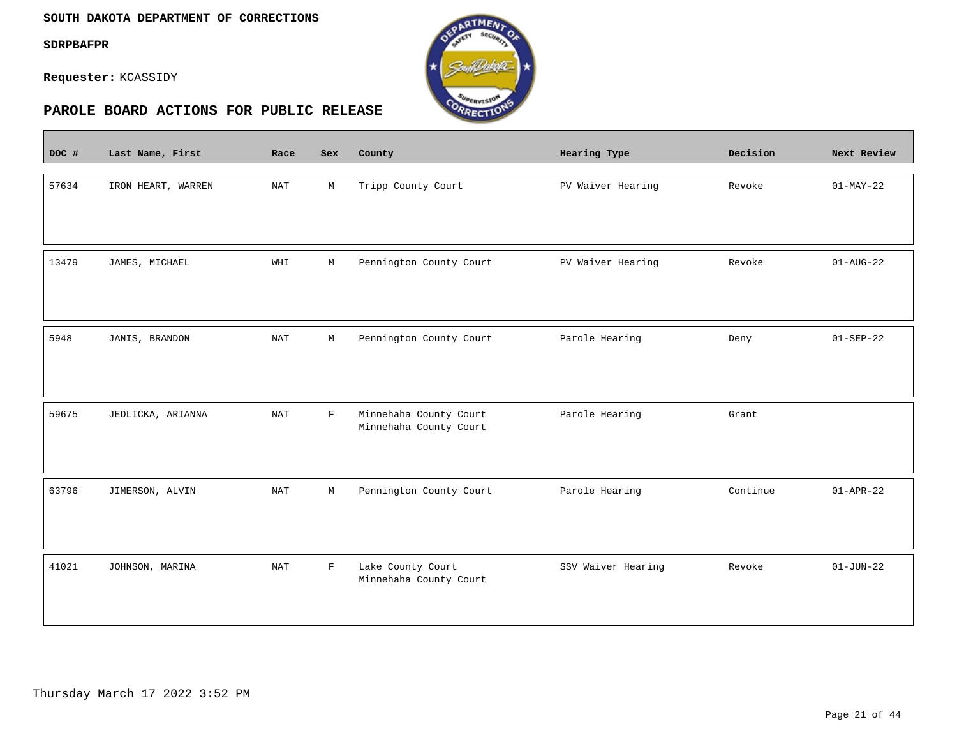$\overline{\phantom{a}}$ 

**Requester:** KCASSIDY



| DOC # | Last Name, First   | Race       | Sex         | County                                           | Hearing Type       | Decision | Next Review     |
|-------|--------------------|------------|-------------|--------------------------------------------------|--------------------|----------|-----------------|
| 57634 | IRON HEART, WARREN | <b>NAT</b> | М           | Tripp County Court                               | PV Waiver Hearing  | Revoke   | $01-MAY-22$     |
| 13479 | JAMES, MICHAEL     | WHI        | М           | Pennington County Court                          | PV Waiver Hearing  | Revoke   | $01 - AUG - 22$ |
| 5948  | JANIS, BRANDON     | <b>NAT</b> | M           | Pennington County Court                          | Parole Hearing     | Deny     | $01 - SEP - 22$ |
| 59675 | JEDLICKA, ARIANNA  | <b>NAT</b> | $\mathbf F$ | Minnehaha County Court<br>Minnehaha County Court | Parole Hearing     | Grant    |                 |
| 63796 | JIMERSON, ALVIN    | NAT        | M           | Pennington County Court                          | Parole Hearing     | Continue | $01 - APR - 22$ |
| 41021 | JOHNSON, MARINA    | <b>NAT</b> | $\mathbf F$ | Lake County Court<br>Minnehaha County Court      | SSV Waiver Hearing | Revoke   | $01 - JUN - 22$ |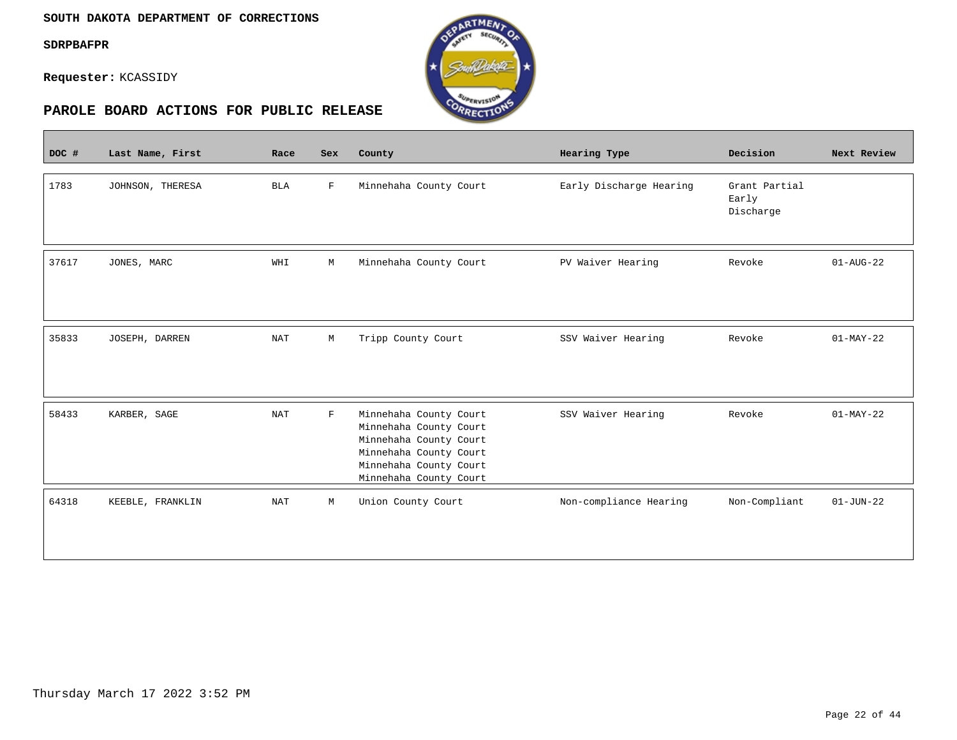**Contract** 

**Requester:** KCASSIDY



| DOC # | Last Name, First | Race       | Sex         | County                                                                                                                                                   | Hearing Type            | Decision                            | Next Review     |
|-------|------------------|------------|-------------|----------------------------------------------------------------------------------------------------------------------------------------------------------|-------------------------|-------------------------------------|-----------------|
| 1783  | JOHNSON, THERESA | <b>BLA</b> | F           | Minnehaha County Court                                                                                                                                   | Early Discharge Hearing | Grant Partial<br>Early<br>Discharge |                 |
| 37617 | JONES, MARC      | WHI        | М           | Minnehaha County Court                                                                                                                                   | PV Waiver Hearing       | Revoke                              | $01 - AUG - 22$ |
| 35833 | JOSEPH, DARREN   | <b>NAT</b> | М           | Tripp County Court                                                                                                                                       | SSV Waiver Hearing      | Revoke                              | $01-MAY-22$     |
| 58433 | KARBER, SAGE     | <b>NAT</b> | $\mathbf F$ | Minnehaha County Court<br>Minnehaha County Court<br>Minnehaha County Court<br>Minnehaha County Court<br>Minnehaha County Court<br>Minnehaha County Court | SSV Waiver Hearing      | Revoke                              | $01-MAY-22$     |
| 64318 | KEEBLE, FRANKLIN | <b>NAT</b> | M           | Union County Court                                                                                                                                       | Non-compliance Hearing  | Non-Compliant                       | $01 - JUN - 22$ |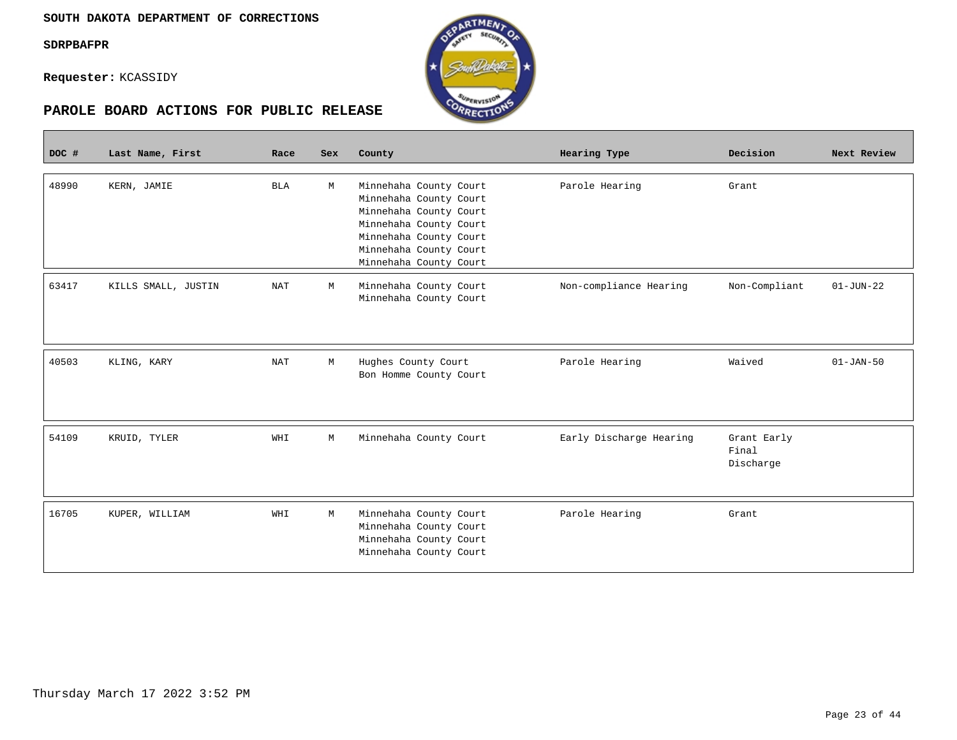**Requester:** KCASSIDY



| <b>SUPERVISION</b><br>CORRECTION<br>PAROLE BOARD ACTIONS FOR PUBLIC RELEASE |                     |            |            |                                                                                                                                                                                    |                         |                                   |                 |  |  |
|-----------------------------------------------------------------------------|---------------------|------------|------------|------------------------------------------------------------------------------------------------------------------------------------------------------------------------------------|-------------------------|-----------------------------------|-----------------|--|--|
| DOC #                                                                       | Last Name, First    | Race       | <b>Sex</b> | County                                                                                                                                                                             | Hearing Type            | Decision                          | Next Review     |  |  |
| 48990                                                                       | KERN, JAMIE         | <b>BLA</b> | М          | Minnehaha County Court<br>Minnehaha County Court<br>Minnehaha County Court<br>Minnehaha County Court<br>Minnehaha County Court<br>Minnehaha County Court<br>Minnehaha County Court | Parole Hearing          | Grant                             |                 |  |  |
| 63417                                                                       | KILLS SMALL, JUSTIN | <b>NAT</b> | M          | Minnehaha County Court<br>Minnehaha County Court                                                                                                                                   | Non-compliance Hearing  | Non-Compliant                     | $01 - JUN - 22$ |  |  |
| 40503                                                                       | KLING, KARY         | <b>NAT</b> | M          | Hughes County Court<br>Bon Homme County Court                                                                                                                                      | Parole Hearing          | Waived                            | $01 - JAN-50$   |  |  |
| 54109                                                                       | KRUID, TYLER        | WHI        | М          | Minnehaha County Court                                                                                                                                                             | Early Discharge Hearing | Grant Early<br>Final<br>Discharge |                 |  |  |
| 16705                                                                       | KUPER, WILLIAM      | WHI        | М          | Minnehaha County Court<br>Minnehaha County Court<br>Minnehaha County Court<br>Minnehaha County Court                                                                               | Parole Hearing          | Grant                             |                 |  |  |

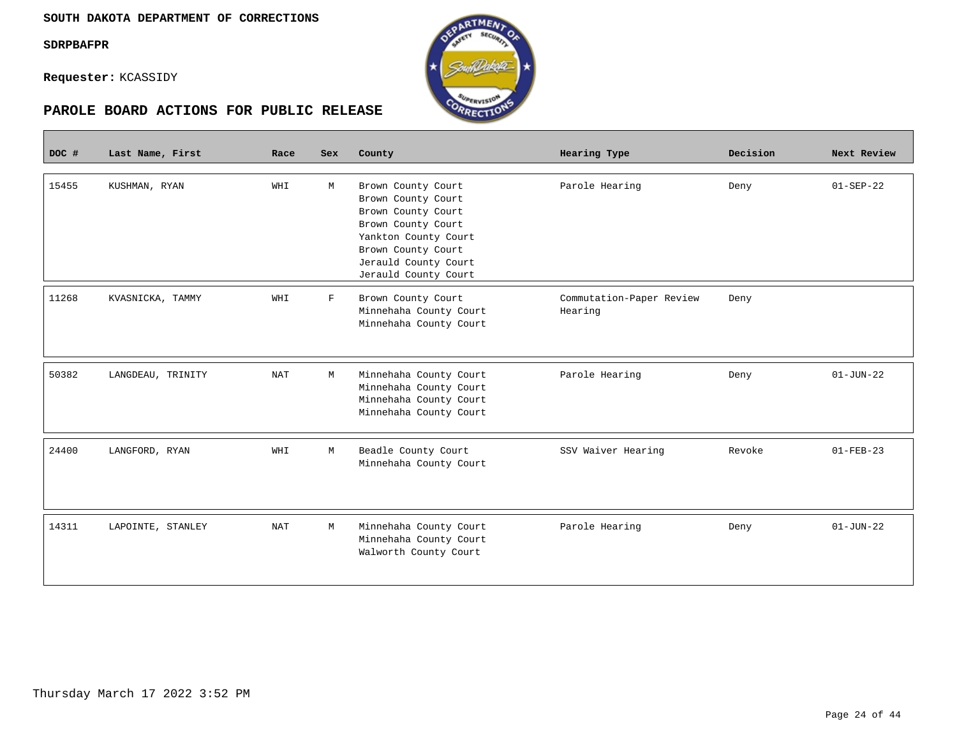$\overline{\phantom{a}}$ 

**Requester:** KCASSIDY

| DOC # | Last Name, First  | Race                 | Sex         | County                                                                                                                                                                             | Hearing Type                        | Decision | Next Review     |
|-------|-------------------|----------------------|-------------|------------------------------------------------------------------------------------------------------------------------------------------------------------------------------------|-------------------------------------|----------|-----------------|
| 15455 | KUSHMAN, RYAN     | WHI                  | М           | Brown County Court<br>Brown County Court<br>Brown County Court<br>Brown County Court<br>Yankton County Court<br>Brown County Court<br>Jerauld County Court<br>Jerauld County Court | Parole Hearing                      | Deny     | $01 - SEP - 22$ |
| 11268 | KVASNICKA, TAMMY  | WHI                  | $\mathbf F$ | Brown County Court<br>Minnehaha County Court<br>Minnehaha County Court                                                                                                             | Commutation-Paper Review<br>Hearing | Deny     |                 |
| 50382 | LANGDEAU, TRINITY | <b>NAT</b>           | M           | Minnehaha County Court<br>Minnehaha County Court<br>Minnehaha County Court<br>Minnehaha County Court                                                                               | Parole Hearing                      | Deny     | $01 - JUN - 22$ |
| 24400 | LANGFORD, RYAN    | WHI                  | М           | Beadle County Court<br>Minnehaha County Court                                                                                                                                      | SSV Waiver Hearing                  | Revoke   | $01 - FEB - 23$ |
| 14311 | LAPOINTE, STANLEY | $\operatorname{NAT}$ | М           | Minnehaha County Court<br>Minnehaha County Court<br>Walworth County Court                                                                                                          | Parole Hearing                      | Deny     | $01 - JUN - 22$ |

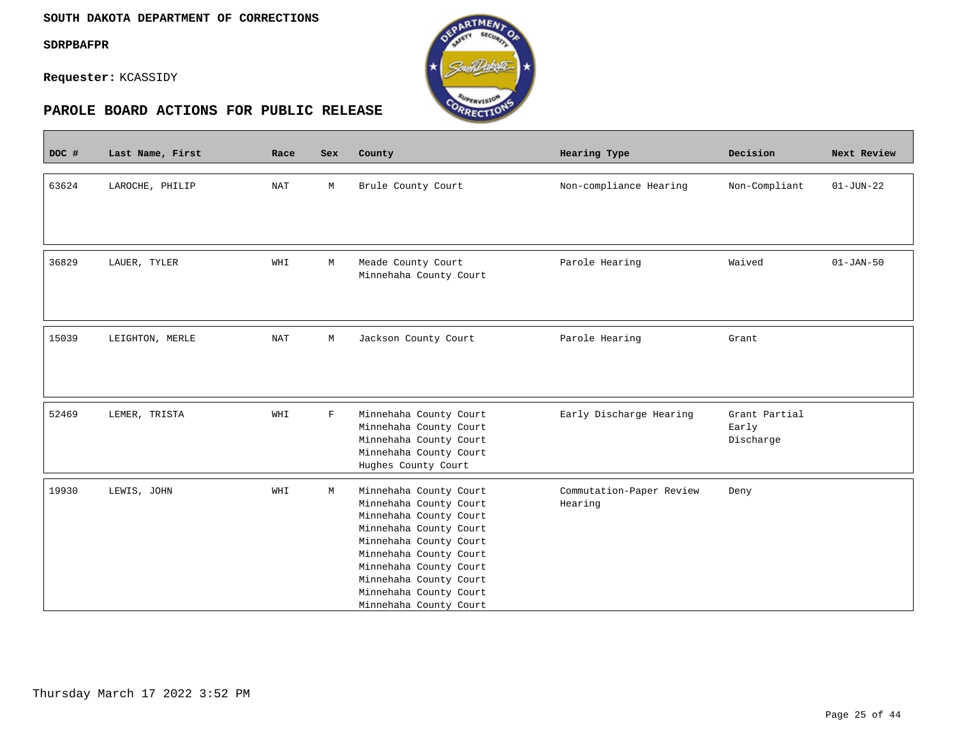$\sim$ 

**Requester:** KCASSIDY



| DOC # | Last Name, First | Race       | <b>Sex</b>  | County                                                                                                                                                                                                                                                           | Hearing Type                        | Decision                            | Next Review     |
|-------|------------------|------------|-------------|------------------------------------------------------------------------------------------------------------------------------------------------------------------------------------------------------------------------------------------------------------------|-------------------------------------|-------------------------------------|-----------------|
| 63624 | LAROCHE, PHILIP  | NAT        | М           | Brule County Court                                                                                                                                                                                                                                               | Non-compliance Hearing              | Non-Compliant                       | $01 - JUN - 22$ |
| 36829 | LAUER, TYLER     | WHI        | М           | Meade County Court<br>Minnehaha County Court                                                                                                                                                                                                                     | Parole Hearing                      | Waived                              | $01 - JAN-50$   |
| 15039 | LEIGHTON, MERLE  | <b>NAT</b> | М           | Jackson County Court                                                                                                                                                                                                                                             | Parole Hearing                      | Grant                               |                 |
| 52469 | LEMER, TRISTA    | WHI        | $\mathbf F$ | Minnehaha County Court<br>Minnehaha County Court<br>Minnehaha County Court<br>Minnehaha County Court<br>Hughes County Court                                                                                                                                      | Early Discharge Hearing             | Grant Partial<br>Early<br>Discharge |                 |
| 19930 | LEWIS, JOHN      | WHI        | М           | Minnehaha County Court<br>Minnehaha County Court<br>Minnehaha County Court<br>Minnehaha County Court<br>Minnehaha County Court<br>Minnehaha County Court<br>Minnehaha County Court<br>Minnehaha County Court<br>Minnehaha County Court<br>Minnehaha County Court | Commutation-Paper Review<br>Hearing | Deny                                |                 |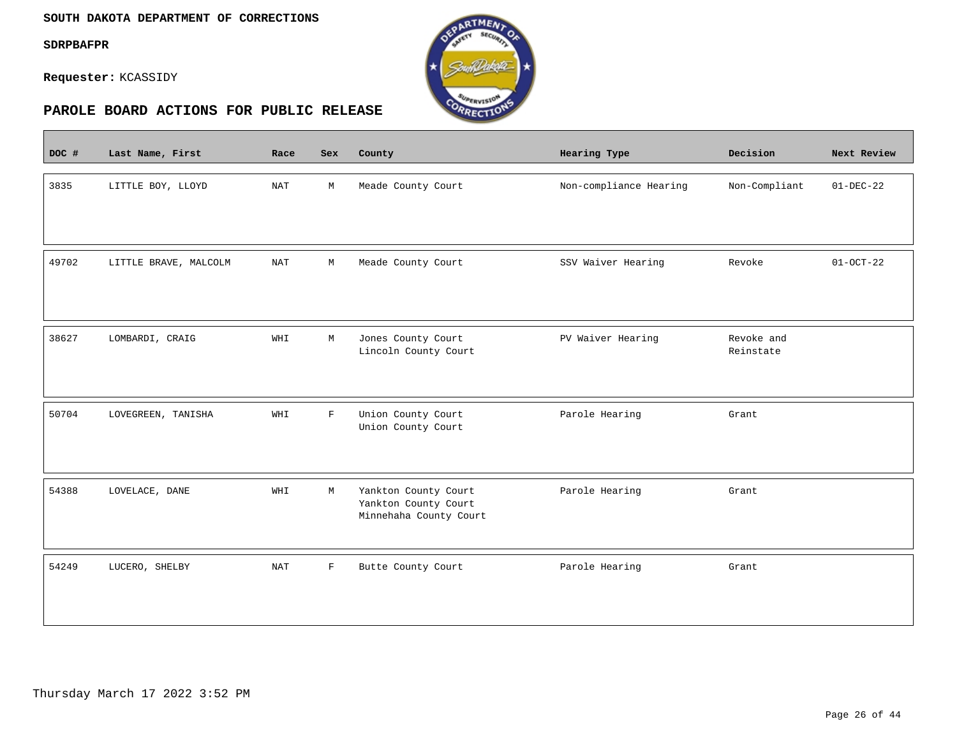$\blacksquare$ 

**Requester:** KCASSIDY



| DOC # | Last Name, First      | Race       | Sex         | County                                                                 | Hearing Type           | Decision                | Next Review     |
|-------|-----------------------|------------|-------------|------------------------------------------------------------------------|------------------------|-------------------------|-----------------|
| 3835  | LITTLE BOY, LLOYD     | NAT        | М           | Meade County Court                                                     | Non-compliance Hearing | Non-Compliant           | $01-DEC-22$     |
| 49702 | LITTLE BRAVE, MALCOLM | <b>NAT</b> | $\mathbb M$ | Meade County Court                                                     | SSV Waiver Hearing     | Revoke                  | $01 - OCT - 22$ |
| 38627 | LOMBARDI, CRAIG       | WHI        | М           | Jones County Court<br>Lincoln County Court                             | PV Waiver Hearing      | Revoke and<br>Reinstate |                 |
| 50704 | LOVEGREEN, TANISHA    | WHI        | $\mathbf F$ | Union County Court<br>Union County Court                               | Parole Hearing         | Grant                   |                 |
| 54388 | LOVELACE, DANE        | WHI        | М           | Yankton County Court<br>Yankton County Court<br>Minnehaha County Court | Parole Hearing         | Grant                   |                 |
| 54249 | LUCERO, SHELBY        | <b>NAT</b> | F           | Butte County Court                                                     | Parole Hearing         | Grant                   |                 |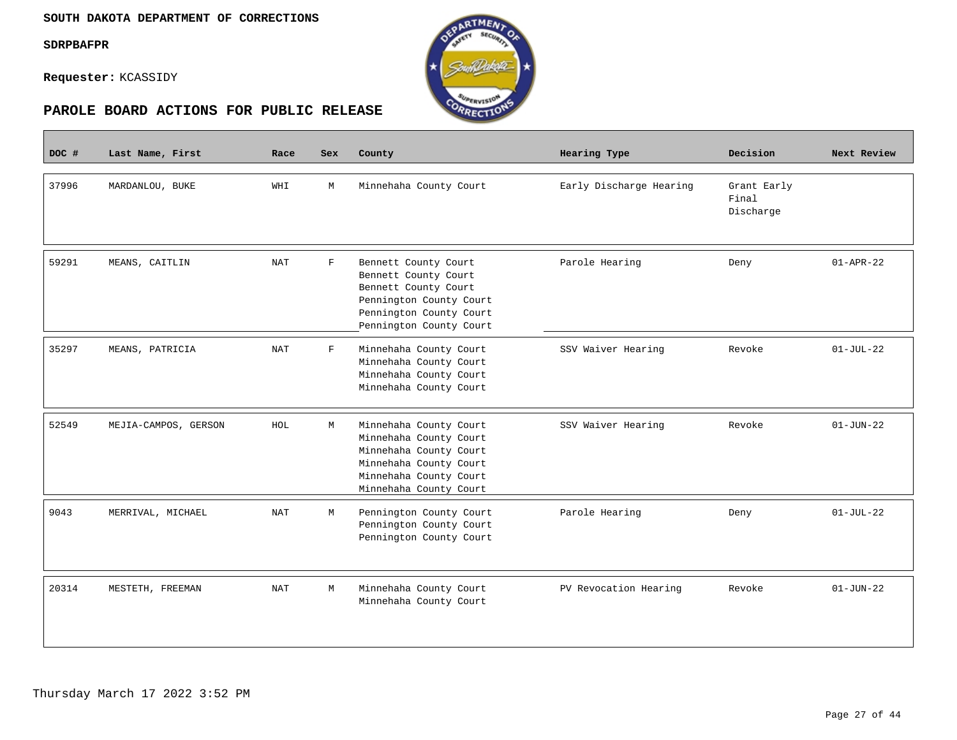$\overline{\phantom{a}}$ 

**Requester:** KCASSIDY



| DOC # | Last Name, First     | Race       | Sex         | County                                                                                                                                                   | Hearing Type            | Decision                          | Next Review     |
|-------|----------------------|------------|-------------|----------------------------------------------------------------------------------------------------------------------------------------------------------|-------------------------|-----------------------------------|-----------------|
| 37996 | MARDANLOU, BUKE      | WHI        | M           | Minnehaha County Court                                                                                                                                   | Early Discharge Hearing | Grant Early<br>Final<br>Discharge |                 |
| 59291 | MEANS, CAITLIN       | <b>NAT</b> | $\mathbf F$ | Bennett County Court<br>Bennett County Court<br>Bennett County Court<br>Pennington County Court<br>Pennington County Court<br>Pennington County Court    | Parole Hearing          | Deny                              | $01 - APR - 22$ |
| 35297 | MEANS, PATRICIA      | <b>NAT</b> | $\mathbf F$ | Minnehaha County Court<br>Minnehaha County Court<br>Minnehaha County Court<br>Minnehaha County Court                                                     | SSV Waiver Hearing      | Revoke                            | $01-JUL-22$     |
| 52549 | MEJIA-CAMPOS, GERSON | HOL        | M           | Minnehaha County Court<br>Minnehaha County Court<br>Minnehaha County Court<br>Minnehaha County Court<br>Minnehaha County Court<br>Minnehaha County Court | SSV Waiver Hearing      | Revoke                            | $01 - JUN - 22$ |
| 9043  | MERRIVAL, MICHAEL    | <b>NAT</b> | M           | Pennington County Court<br>Pennington County Court<br>Pennington County Court                                                                            | Parole Hearing          | Deny                              | $01-JUL-22$     |
| 20314 | MESTETH, FREEMAN     | <b>NAT</b> | M           | Minnehaha County Court<br>Minnehaha County Court                                                                                                         | PV Revocation Hearing   | Revoke                            | $01 - JUN - 22$ |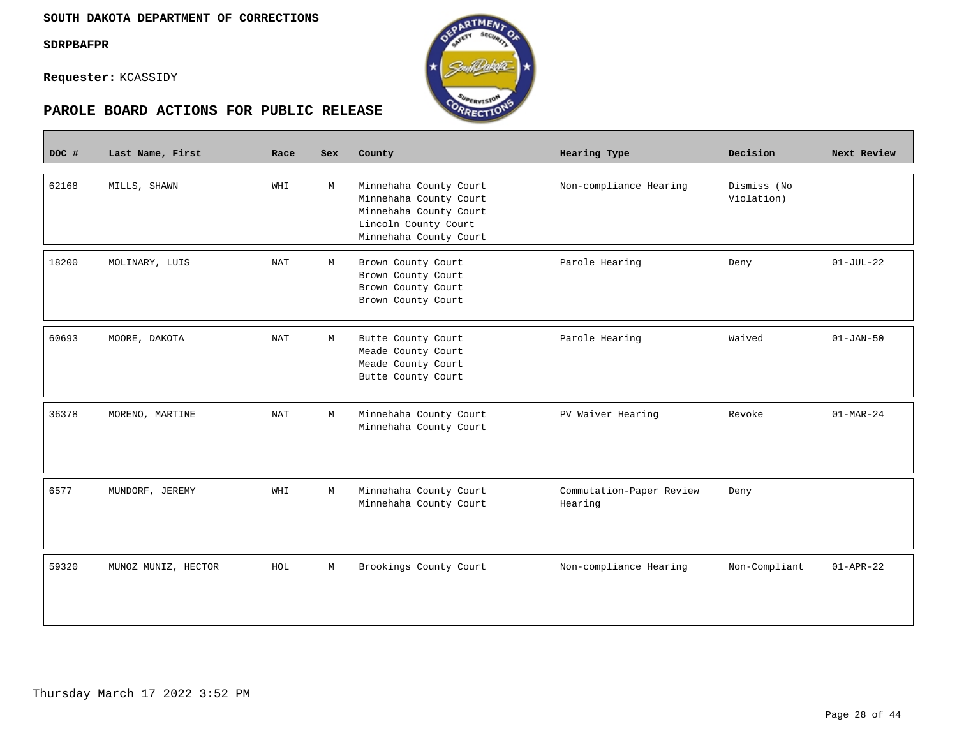**Contract** 

**Requester:** KCASSIDY





| DOC # | Last Name, First    | Race       | Sex | County                                                                                                                       | Hearing Type                        | Decision                  | Next Review     |
|-------|---------------------|------------|-----|------------------------------------------------------------------------------------------------------------------------------|-------------------------------------|---------------------------|-----------------|
| 62168 | MILLS, SHAWN        | WHI        | M   | Minnehaha County Court<br>Minnehaha County Court<br>Minnehaha County Court<br>Lincoln County Court<br>Minnehaha County Court | Non-compliance Hearing              | Dismiss (No<br>Violation) |                 |
| 18200 | MOLINARY, LUIS      | NAT        | М   | Brown County Court<br>Brown County Court<br>Brown County Court<br>Brown County Court                                         | Parole Hearing                      | Deny                      | $01-JUL-22$     |
| 60693 | MOORE, DAKOTA       | <b>NAT</b> | М   | Butte County Court<br>Meade County Court<br>Meade County Court<br>Butte County Court                                         | Parole Hearing                      | Waived                    | $01 - JAN - 50$ |
| 36378 | MORENO, MARTINE     | NAT        | М   | Minnehaha County Court<br>Minnehaha County Court                                                                             | PV Waiver Hearing                   | Revoke                    | $01-MAR-24$     |
| 6577  | MUNDORF, JEREMY     | WHI        | М   | Minnehaha County Court<br>Minnehaha County Court                                                                             | Commutation-Paper Review<br>Hearing | Deny                      |                 |
| 59320 | MUNOZ MUNIZ, HECTOR | HOL        | М   | Brookings County Court                                                                                                       | Non-compliance Hearing              | Non-Compliant             | $01 - APR - 22$ |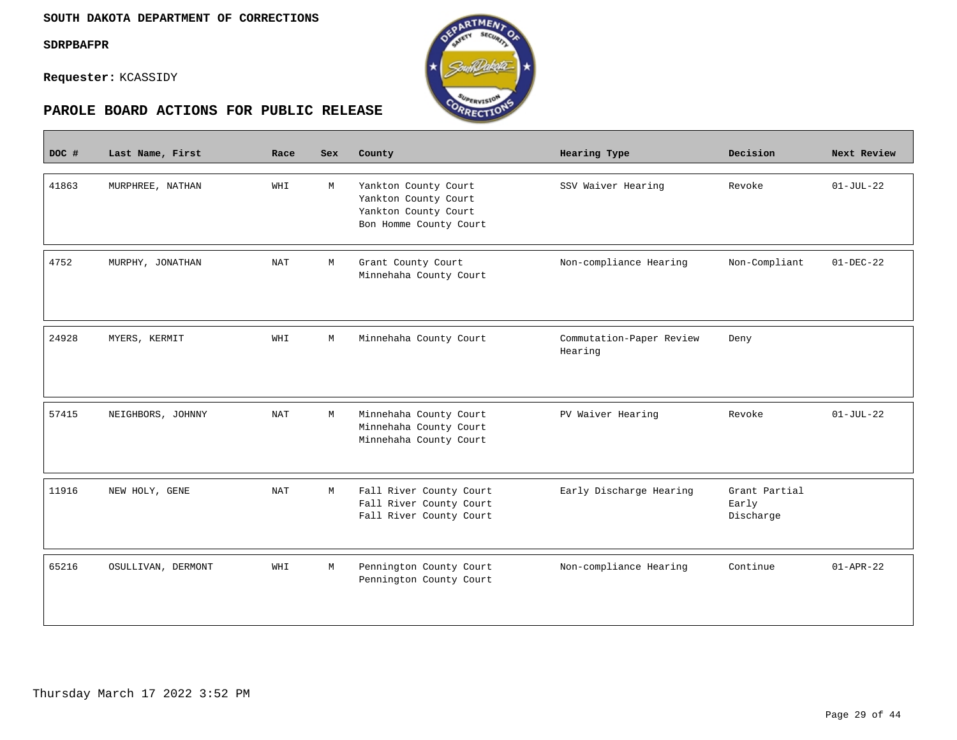**Contract** 

**Requester:** KCASSIDY



| DOC # | Last Name, First   | Race       | <b>Sex</b> | County                                                                                         | Hearing Type                        | Decision                            | Next Review     |
|-------|--------------------|------------|------------|------------------------------------------------------------------------------------------------|-------------------------------------|-------------------------------------|-----------------|
| 41863 | MURPHREE, NATHAN   | WHI        | M          | Yankton County Court<br>Yankton County Court<br>Yankton County Court<br>Bon Homme County Court | SSV Waiver Hearing                  | Revoke                              | $01-JUL-22$     |
| 4752  | MURPHY, JONATHAN   | <b>NAT</b> | M          | Grant County Court<br>Minnehaha County Court                                                   | Non-compliance Hearing              | Non-Compliant                       | $01 - DEC - 22$ |
| 24928 | MYERS, KERMIT      | WHI        | M          | Minnehaha County Court                                                                         | Commutation-Paper Review<br>Hearing | Deny                                |                 |
| 57415 | NEIGHBORS, JOHNNY  | <b>NAT</b> | М          | Minnehaha County Court<br>Minnehaha County Court<br>Minnehaha County Court                     | PV Waiver Hearing                   | Revoke                              | $01-JUL-22$     |
| 11916 | NEW HOLY, GENE     | <b>NAT</b> | М          | Fall River County Court<br>Fall River County Court<br>Fall River County Court                  | Early Discharge Hearing             | Grant Partial<br>Early<br>Discharge |                 |
| 65216 | OSULLIVAN, DERMONT | WHI        | М          | Pennington County Court<br>Pennington County Court                                             | Non-compliance Hearing              | Continue                            | $01 - APR - 22$ |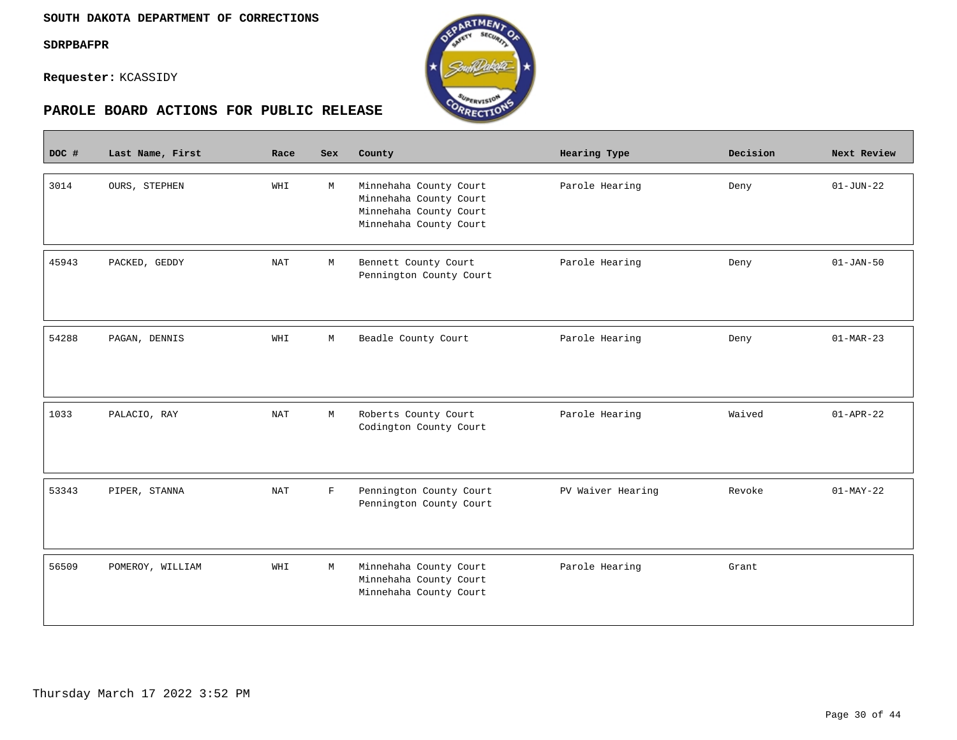**Contract** 

**Requester:** KCASSIDY



| DOC # | Last Name, First | Race       | <b>Sex</b>  | County                                                                                               | Hearing Type      | Decision | Next Review     |
|-------|------------------|------------|-------------|------------------------------------------------------------------------------------------------------|-------------------|----------|-----------------|
| 3014  | OURS, STEPHEN    | WHI        | M           | Minnehaha County Court<br>Minnehaha County Court<br>Minnehaha County Court<br>Minnehaha County Court | Parole Hearing    | Deny     | $01 - JUN - 22$ |
| 45943 | PACKED, GEDDY    | <b>NAT</b> | М           | Bennett County Court<br>Pennington County Court                                                      | Parole Hearing    | Deny     | $01 - JAN - 50$ |
| 54288 | PAGAN, DENNIS    | WHI        | М           | Beadle County Court                                                                                  | Parole Hearing    | Deny     | $01-MAR-23$     |
| 1033  | PALACIO, RAY     | NAT        | М           | Roberts County Court<br>Codington County Court                                                       | Parole Hearing    | Waived   | $01 - APR - 22$ |
| 53343 | PIPER, STANNA    | <b>NAT</b> | $\mathbf F$ | Pennington County Court<br>Pennington County Court                                                   | PV Waiver Hearing | Revoke   | $01-MAY-22$     |
| 56509 | POMEROY, WILLIAM | WHI        | М           | Minnehaha County Court<br>Minnehaha County Court<br>Minnehaha County Court                           | Parole Hearing    | Grant    |                 |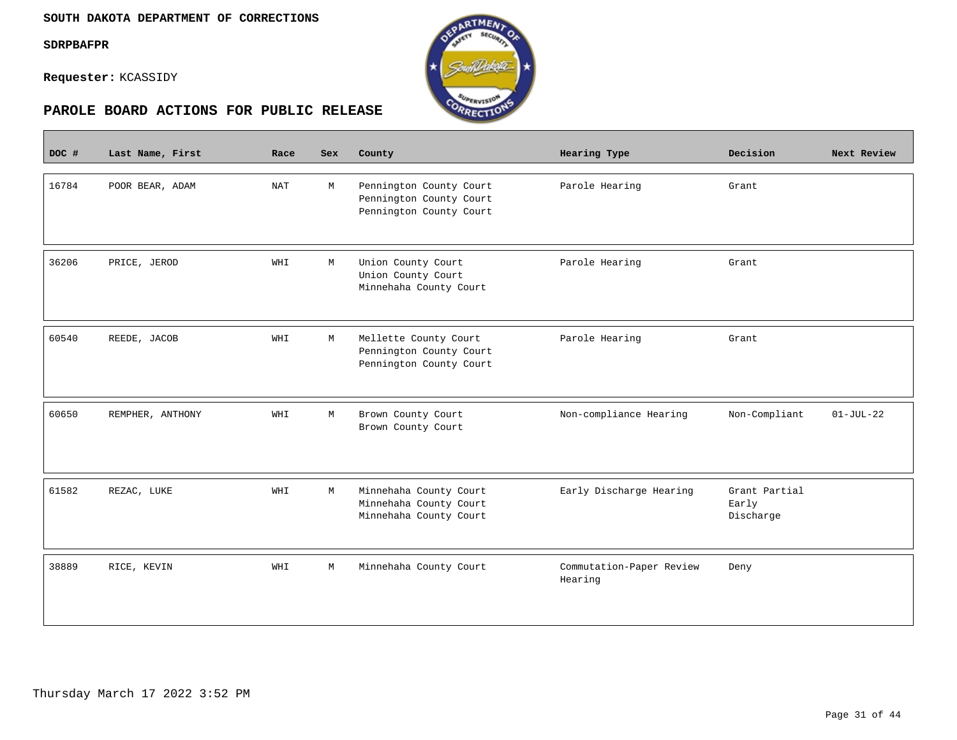$\overline{\phantom{a}}$ 

**Requester:** KCASSIDY



| DOC # | Last Name, First | Race       | <b>Sex</b> | County                                                                        | Hearing Type                        | Decision                            | Next Review |
|-------|------------------|------------|------------|-------------------------------------------------------------------------------|-------------------------------------|-------------------------------------|-------------|
| 16784 | POOR BEAR, ADAM  | <b>NAT</b> | М          | Pennington County Court<br>Pennington County Court<br>Pennington County Court | Parole Hearing                      | Grant                               |             |
| 36206 | PRICE, JEROD     | WHI        | M          | Union County Court<br>Union County Court<br>Minnehaha County Court            | Parole Hearing                      | Grant                               |             |
| 60540 | REEDE, JACOB     | WHI        | М          | Mellette County Court<br>Pennington County Court<br>Pennington County Court   | Parole Hearing                      | Grant                               |             |
| 60650 | REMPHER, ANTHONY | WHI        | М          | Brown County Court<br>Brown County Court                                      | Non-compliance Hearing              | Non-Compliant                       | $01-JUL-22$ |
| 61582 | REZAC, LUKE      | WHI        | M          | Minnehaha County Court<br>Minnehaha County Court<br>Minnehaha County Court    | Early Discharge Hearing             | Grant Partial<br>Early<br>Discharge |             |
| 38889 | RICE, KEVIN      | WHI        | М          | Minnehaha County Court                                                        | Commutation-Paper Review<br>Hearing | Deny                                |             |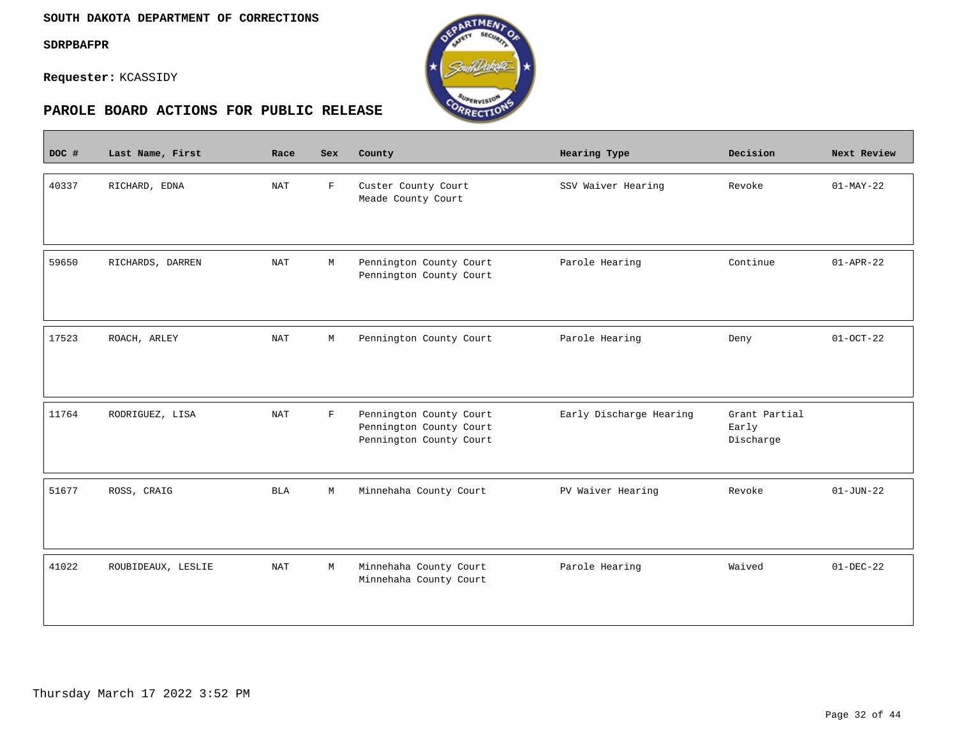$\sim$ 

**Requester:** KCASSIDY



| DOC # | Last Name, First   | Race                 | <b>Sex</b>   | County                                                                        | Hearing Type            | Decision                            | Next Review     |
|-------|--------------------|----------------------|--------------|-------------------------------------------------------------------------------|-------------------------|-------------------------------------|-----------------|
| 40337 | RICHARD, EDNA      | <b>NAT</b>           | $\mathbf{F}$ | Custer County Court<br>Meade County Court                                     | SSV Waiver Hearing      | Revoke                              | $01-MAY-22$     |
| 59650 | RICHARDS, DARREN   | $\operatorname{NAT}$ | $\mathbb M$  | Pennington County Court<br>Pennington County Court                            | Parole Hearing          | Continue                            | $01 - APR - 22$ |
| 17523 | ROACH, ARLEY       | <b>NAT</b>           | М            | Pennington County Court                                                       | Parole Hearing          | Deny                                | $01-0CT-22$     |
| 11764 | RODRIGUEZ, LISA    | <b>NAT</b>           | $\mathbf F$  | Pennington County Court<br>Pennington County Court<br>Pennington County Court | Early Discharge Hearing | Grant Partial<br>Early<br>Discharge |                 |
| 51677 | ROSS, CRAIG        | <b>BLA</b>           | М            | Minnehaha County Court                                                        | PV Waiver Hearing       | Revoke                              | $01 - JUN - 22$ |
| 41022 | ROUBIDEAUX, LESLIE | <b>NAT</b>           | М            | Minnehaha County Court<br>Minnehaha County Court                              | Parole Hearing          | Waived                              | $01 - DEC - 22$ |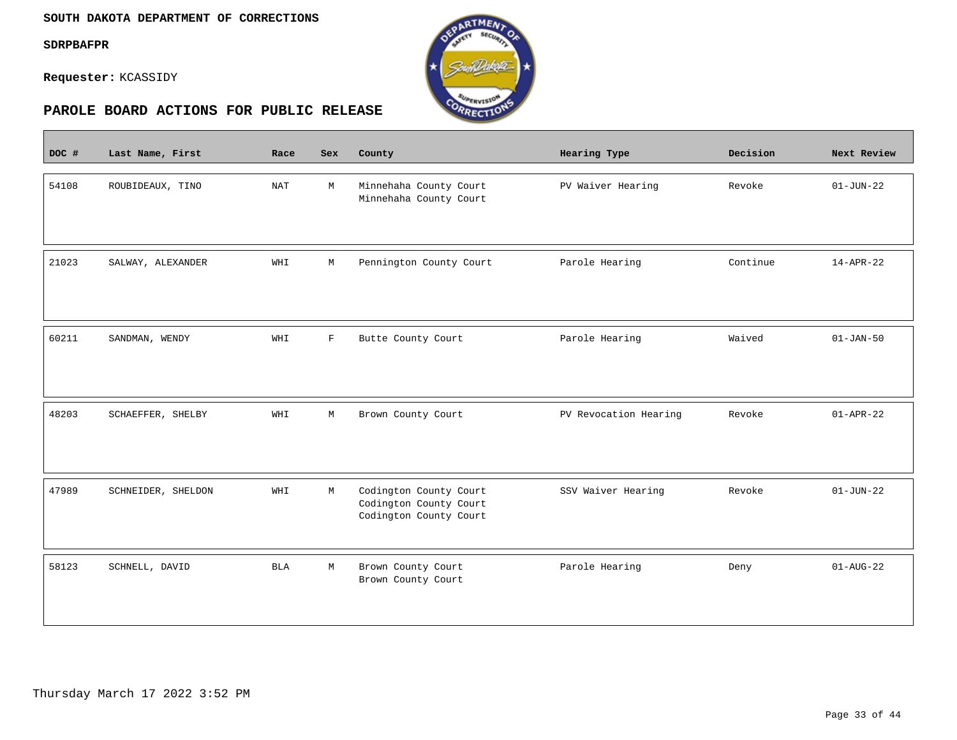$\overline{\phantom{a}}$ 

**Requester:** KCASSIDY



| DOC # | Last Name, First   | Race                 | <b>Sex</b>   | County                                                                     | Hearing Type          | Decision | Next Review     |
|-------|--------------------|----------------------|--------------|----------------------------------------------------------------------------|-----------------------|----------|-----------------|
| 54108 | ROUBIDEAUX, TINO   | $\operatorname{NAT}$ | M            | Minnehaha County Court<br>Minnehaha County Court                           | PV Waiver Hearing     | Revoke   | $01 - JUN - 22$ |
| 21023 | SALWAY, ALEXANDER  | WHI                  | М            | Pennington County Court                                                    | Parole Hearing        | Continue | $14 - APR - 22$ |
| 60211 | SANDMAN, WENDY     | WHI                  | $\mathbf{F}$ | Butte County Court                                                         | Parole Hearing        | Waived   | $01 - JAN - 50$ |
| 48203 | SCHAEFFER, SHELBY  | WHI                  | М            | Brown County Court                                                         | PV Revocation Hearing | Revoke   | $01 - APR - 22$ |
| 47989 | SCHNEIDER, SHELDON | WHI                  | M            | Codington County Court<br>Codington County Court<br>Codington County Court | SSV Waiver Hearing    | Revoke   | $01 - JUN - 22$ |
| 58123 | SCHNELL, DAVID     | <b>BLA</b>           | М            | Brown County Court<br>Brown County Court                                   | Parole Hearing        | Deny     | $01 - AUG - 22$ |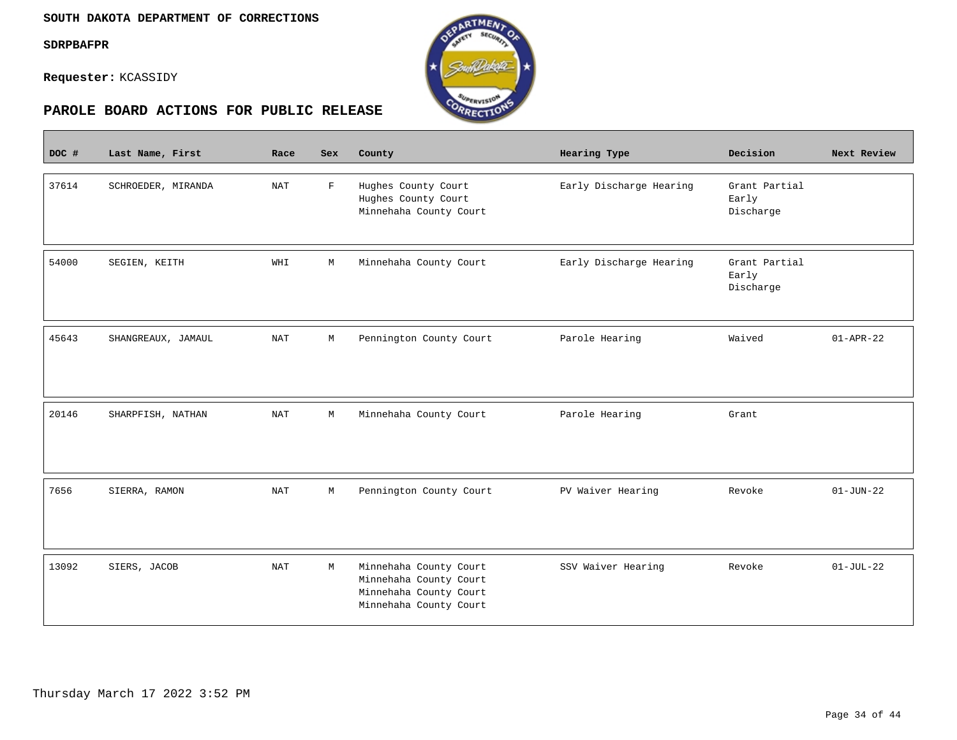$\overline{\phantom{a}}$ 

**Requester:** KCASSIDY



| DOC # | Last Name, First   | Race       | <b>Sex</b>  | County                                                                                               | <b>Hearing Type</b>     | Decision                            | Next Review     |
|-------|--------------------|------------|-------------|------------------------------------------------------------------------------------------------------|-------------------------|-------------------------------------|-----------------|
| 37614 | SCHROEDER, MIRANDA | <b>NAT</b> | $\mathbf F$ | Hughes County Court<br>Hughes County Court<br>Minnehaha County Court                                 | Early Discharge Hearing | Grant Partial<br>Early<br>Discharge |                 |
| 54000 | SEGIEN, KEITH      | WHI        | М           | Minnehaha County Court                                                                               | Early Discharge Hearing | Grant Partial<br>Early<br>Discharge |                 |
| 45643 | SHANGREAUX, JAMAUL | <b>NAT</b> | М           | Pennington County Court                                                                              | Parole Hearing          | Waived                              | $01 - APR - 22$ |
| 20146 | SHARPFISH, NATHAN  | <b>NAT</b> | М           | Minnehaha County Court                                                                               | Parole Hearing          | Grant                               |                 |
| 7656  | SIERRA, RAMON      | <b>NAT</b> | М           | Pennington County Court                                                                              | PV Waiver Hearing       | Revoke                              | $01 - JUN - 22$ |
| 13092 | SIERS, JACOB       | <b>NAT</b> | М           | Minnehaha County Court<br>Minnehaha County Court<br>Minnehaha County Court<br>Minnehaha County Court | SSV Waiver Hearing      | Revoke                              | $01-JUL-22$     |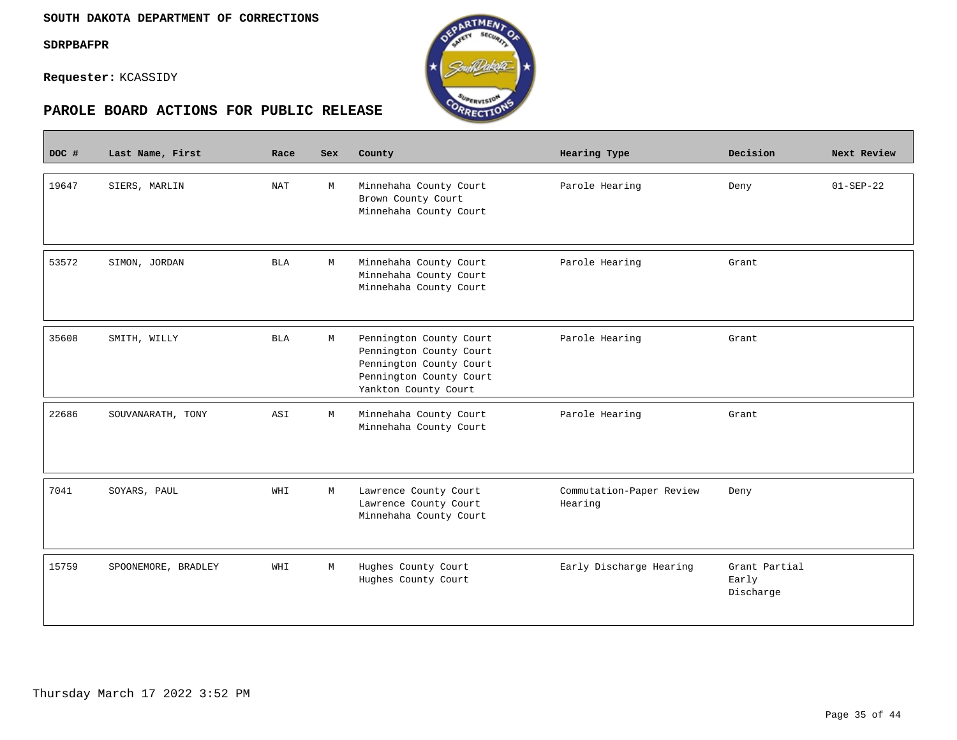П

**Requester:** KCASSIDY





| DOC # | Last Name, First    | Race                 | <b>Sex</b> | County                                                                                                                           | Hearing Type                        | Decision                            | Next Review     |
|-------|---------------------|----------------------|------------|----------------------------------------------------------------------------------------------------------------------------------|-------------------------------------|-------------------------------------|-----------------|
| 19647 | SIERS, MARLIN       | $\operatorname{NAT}$ | M          | Minnehaha County Court<br>Brown County Court<br>Minnehaha County Court                                                           | Parole Hearing                      | Deny                                | $01 - SEP - 22$ |
| 53572 | SIMON, JORDAN       | <b>BLA</b>           | M          | Minnehaha County Court<br>Minnehaha County Court<br>Minnehaha County Court                                                       | Parole Hearing                      | Grant                               |                 |
| 35608 | SMITH, WILLY        | <b>BLA</b>           | М          | Pennington County Court<br>Pennington County Court<br>Pennington County Court<br>Pennington County Court<br>Yankton County Court | Parole Hearing                      | Grant                               |                 |
| 22686 | SOUVANARATH, TONY   | ASI                  | M          | Minnehaha County Court<br>Minnehaha County Court                                                                                 | Parole Hearing                      | Grant                               |                 |
| 7041  | SOYARS, PAUL        | WHI                  | M          | Lawrence County Court<br>Lawrence County Court<br>Minnehaha County Court                                                         | Commutation-Paper Review<br>Hearing | Deny                                |                 |
| 15759 | SPOONEMORE, BRADLEY | WHI                  | М          | Hughes County Court<br>Hughes County Court                                                                                       | Early Discharge Hearing             | Grant Partial<br>Early<br>Discharge |                 |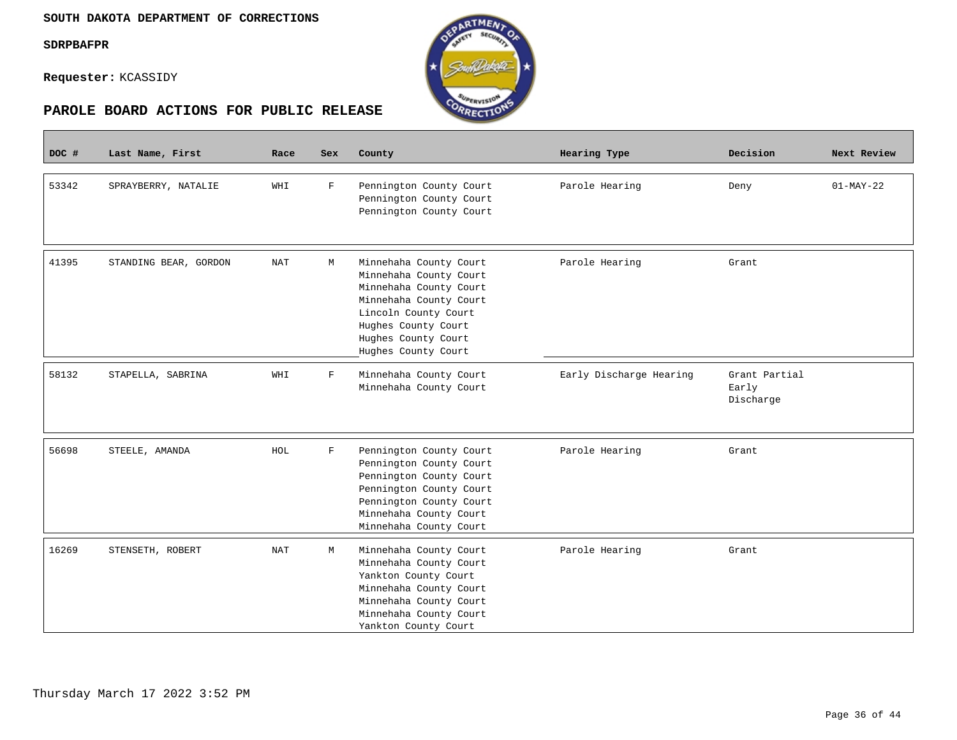П

**Requester:** KCASSIDY





| DOC # | Last Name, First      | Race       | <b>Sex</b>  | County                                                                                                                                                                                            | Hearing Type            | Decision                            | Next Review |
|-------|-----------------------|------------|-------------|---------------------------------------------------------------------------------------------------------------------------------------------------------------------------------------------------|-------------------------|-------------------------------------|-------------|
| 53342 | SPRAYBERRY, NATALIE   | WHI        | $\mathbf F$ | Pennington County Court<br>Pennington County Court<br>Pennington County Court                                                                                                                     | Parole Hearing          | Deny                                | $01-MAY-22$ |
| 41395 | STANDING BEAR, GORDON | <b>NAT</b> | М           | Minnehaha County Court<br>Minnehaha County Court<br>Minnehaha County Court<br>Minnehaha County Court<br>Lincoln County Court<br>Hughes County Court<br>Hughes County Court<br>Hughes County Court | Parole Hearing          | Grant                               |             |
| 58132 | STAPELLA, SABRINA     | WHI        | $\mathbf F$ | Minnehaha County Court<br>Minnehaha County Court                                                                                                                                                  | Early Discharge Hearing | Grant Partial<br>Early<br>Discharge |             |
| 56698 | STEELE, AMANDA        | HOL        | $\rm F$     | Pennington County Court<br>Pennington County Court<br>Pennington County Court<br>Pennington County Court<br>Pennington County Court<br>Minnehaha County Court<br>Minnehaha County Court           | Parole Hearing          | Grant                               |             |
| 16269 | STENSETH, ROBERT      | <b>NAT</b> | М           | Minnehaha County Court<br>Minnehaha County Court<br>Yankton County Court<br>Minnehaha County Court<br>Minnehaha County Court<br>Minnehaha County Court<br>Yankton County Court                    | Parole Hearing          | Grant                               |             |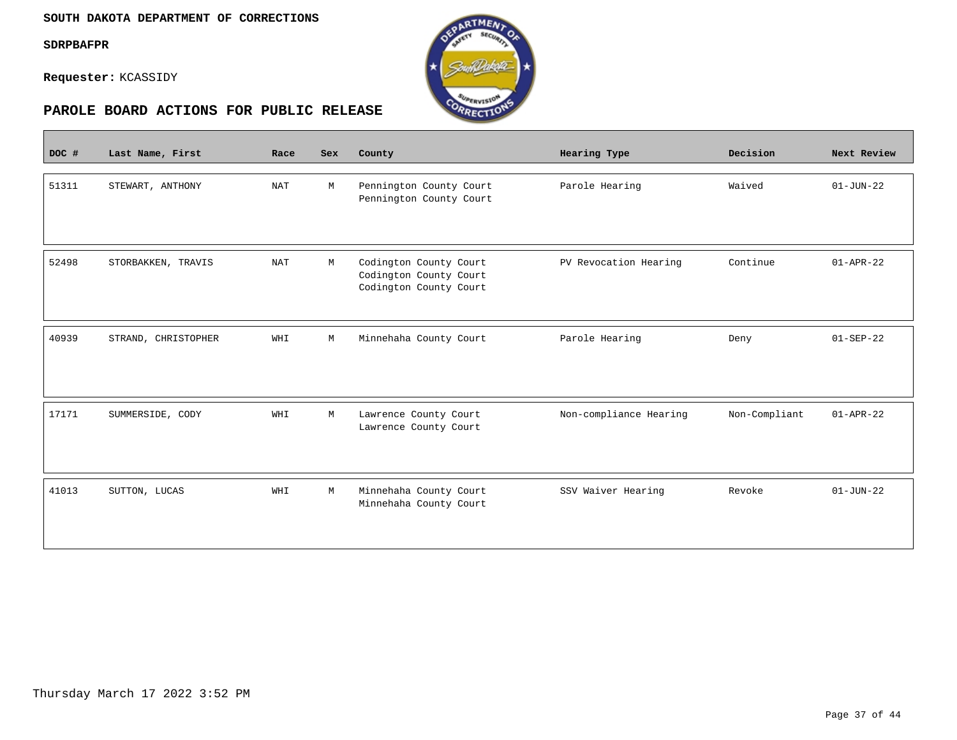$\overline{\phantom{a}}$ 

**Requester:** KCASSIDY



| DOC # | Last Name, First    | Race       | <b>Sex</b> | County                                                                     | Hearing Type           | Decision      | Next Review     |
|-------|---------------------|------------|------------|----------------------------------------------------------------------------|------------------------|---------------|-----------------|
| 51311 | STEWART, ANTHONY    | <b>NAT</b> | M          | Pennington County Court<br>Pennington County Court                         | Parole Hearing         | Waived        | $01 - JUN - 22$ |
| 52498 | STORBAKKEN, TRAVIS  | <b>NAT</b> | M          | Codington County Court<br>Codington County Court<br>Codington County Court | PV Revocation Hearing  | Continue      | $01 - APR - 22$ |
| 40939 | STRAND, CHRISTOPHER | WHI        | M          | Minnehaha County Court                                                     | Parole Hearing         | Deny          | $01-SEP-22$     |
| 17171 | SUMMERSIDE, CODY    | WHI        | M          | Lawrence County Court<br>Lawrence County Court                             | Non-compliance Hearing | Non-Compliant | $01 - APR - 22$ |
| 41013 | SUTTON, LUCAS       | WHI        | М          | Minnehaha County Court<br>Minnehaha County Court                           | SSV Waiver Hearing     | Revoke        | $01 - JUN - 22$ |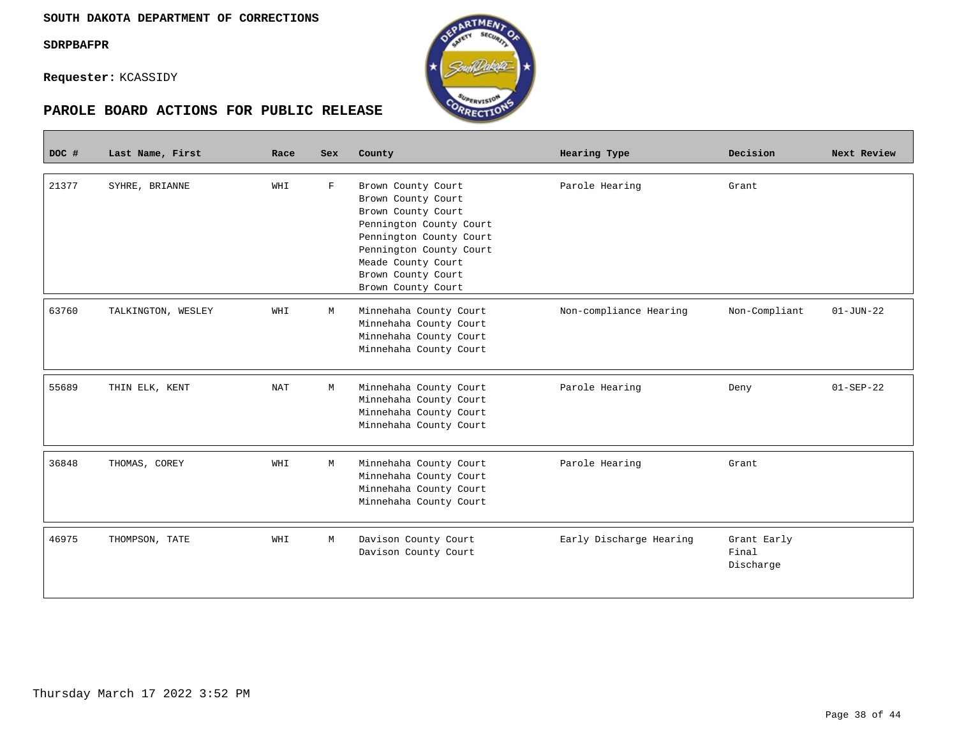**Requester:** KCASSIDY



| DOC # | Last Name, First   | Race | <b>Sex</b>  | County                                                                                                                                                                                                            | Hearing Type            | Decision                          | Next Review     |
|-------|--------------------|------|-------------|-------------------------------------------------------------------------------------------------------------------------------------------------------------------------------------------------------------------|-------------------------|-----------------------------------|-----------------|
| 21377 | SYHRE, BRIANNE     | WHI  | $\mathbf F$ | Brown County Court<br>Brown County Court<br>Brown County Court<br>Pennington County Court<br>Pennington County Court<br>Pennington County Court<br>Meade County Court<br>Brown County Court<br>Brown County Court | Parole Hearing          | Grant                             |                 |
| 63760 | TALKINGTON, WESLEY | WHI  | M           | Minnehaha County Court<br>Minnehaha County Court<br>Minnehaha County Court<br>Minnehaha County Court                                                                                                              | Non-compliance Hearing  | Non-Compliant                     | $01 - JUN - 22$ |
| 55689 | THIN ELK, KENT     | NAT  | M           | Minnehaha County Court<br>Minnehaha County Court<br>Minnehaha County Court<br>Minnehaha County Court                                                                                                              | Parole Hearing          | Deny                              | $01 - SEP - 22$ |
| 36848 | THOMAS, COREY      | WHI  | M           | Minnehaha County Court<br>Minnehaha County Court<br>Minnehaha County Court<br>Minnehaha County Court                                                                                                              | Parole Hearing          | Grant                             |                 |
| 46975 | THOMPSON, TATE     | WHI  | M           | Davison County Court<br>Davison County Court                                                                                                                                                                      | Early Discharge Hearing | Grant Early<br>Final<br>Discharge |                 |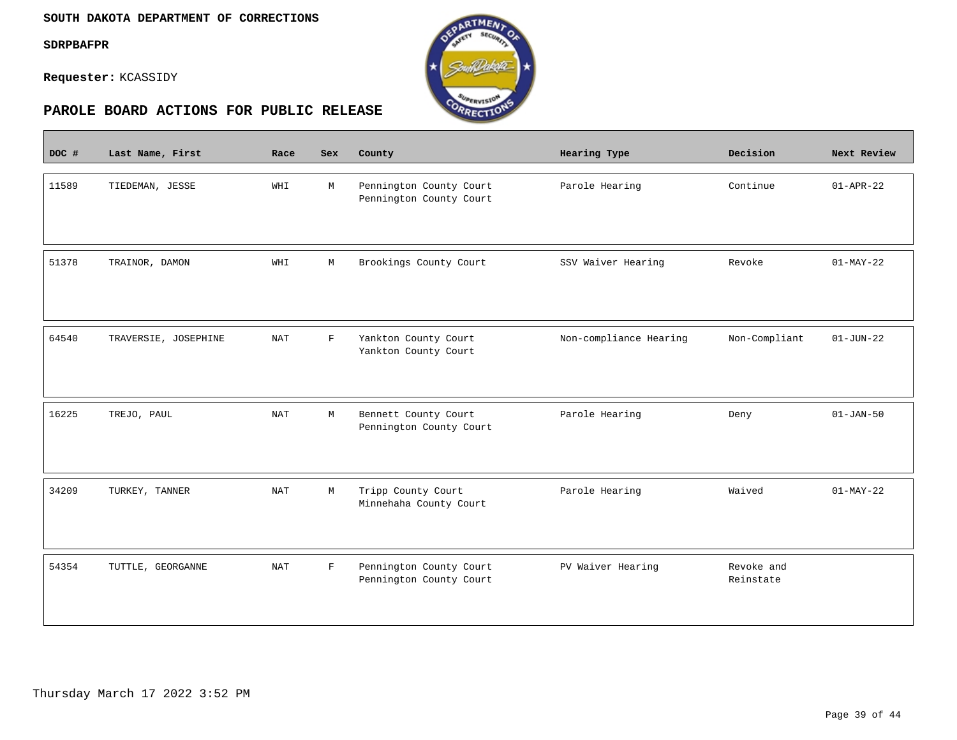$\sim$ 

**Requester:** KCASSIDY



| DOC # | Last Name, First     | Race                 | <b>Sex</b>   | County                                             | Hearing Type           | Decision                | Next Review     |
|-------|----------------------|----------------------|--------------|----------------------------------------------------|------------------------|-------------------------|-----------------|
| 11589 | TIEDEMAN, JESSE      | WHI                  | M            | Pennington County Court<br>Pennington County Court | Parole Hearing         | Continue                | $01 - APR - 22$ |
| 51378 | TRAINOR, DAMON       | WHI                  | М            | Brookings County Court                             | SSV Waiver Hearing     | Revoke                  | $01-MAY-22$     |
| 64540 | TRAVERSIE, JOSEPHINE | $\operatorname{NAT}$ | $\mathbf{F}$ | Yankton County Court<br>Yankton County Court       | Non-compliance Hearing | Non-Compliant           | $01 - JUN - 22$ |
| 16225 | TREJO, PAUL          | <b>NAT</b>           | М            | Bennett County Court<br>Pennington County Court    | Parole Hearing         | Deny                    | $01 - JAN - 50$ |
| 34209 | TURKEY, TANNER       | $\operatorname{NAT}$ | M            | Tripp County Court<br>Minnehaha County Court       | Parole Hearing         | Waived                  | $01-MAY-22$     |
| 54354 | TUTTLE, GEORGANNE    | <b>NAT</b>           | $\mathbf F$  | Pennington County Court<br>Pennington County Court | PV Waiver Hearing      | Revoke and<br>Reinstate |                 |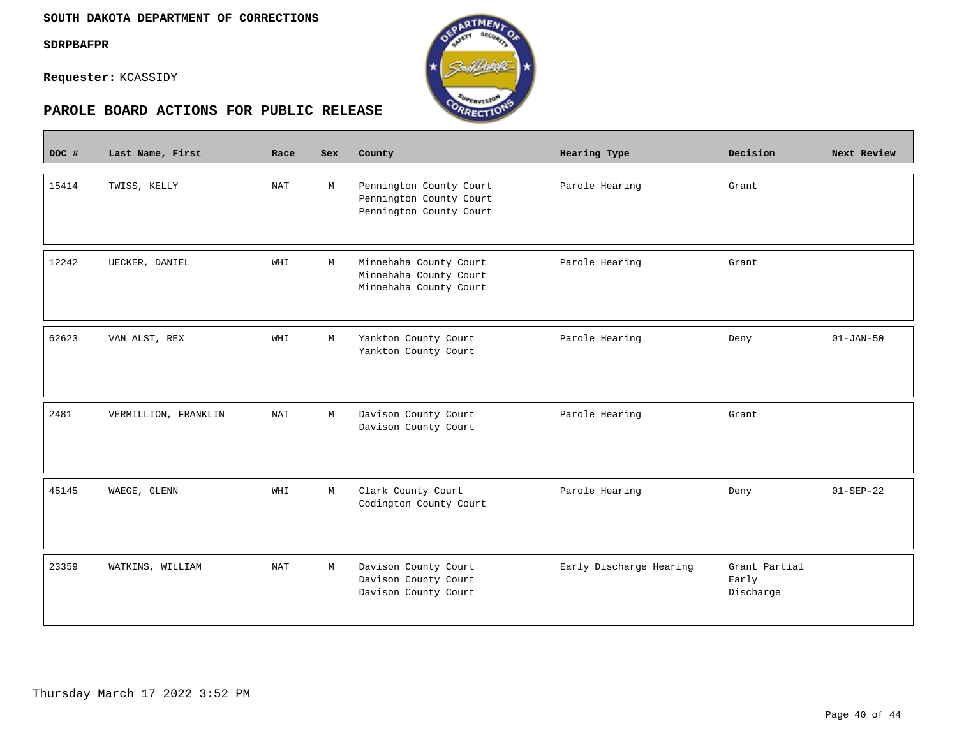$\overline{\phantom{a}}$ 

**Requester:** KCASSIDY



# **PAROLE BOARD ACTIONS FOR PUBLIC RELEASE**

| DOC # | Last Name, First     | Race       | <b>Sex</b> | County                                                                        | Hearing Type            | Decision                            | Next Review   |
|-------|----------------------|------------|------------|-------------------------------------------------------------------------------|-------------------------|-------------------------------------|---------------|
| 15414 | TWISS, KELLY         | <b>NAT</b> | M          | Pennington County Court<br>Pennington County Court<br>Pennington County Court | Parole Hearing          | Grant                               |               |
| 12242 | UECKER, DANIEL       | WHI        | М          | Minnehaha County Court<br>Minnehaha County Court<br>Minnehaha County Court    | Parole Hearing          | Grant                               |               |
| 62623 | VAN ALST, REX        | WHI        | M          | Yankton County Court<br>Yankton County Court                                  | Parole Hearing          | Deny                                | $01 - JAN-50$ |
| 2481  | VERMILLION, FRANKLIN | <b>NAT</b> | M          | Davison County Court<br>Davison County Court                                  | Parole Hearing          | Grant                               |               |
| 45145 | WAEGE, GLENN         | WHI        | M          | Clark County Court<br>Codington County Court                                  | Parole Hearing          | Deny                                | $01-SEP-22$   |
| 23359 | WATKINS, WILLIAM     | <b>NAT</b> | M          | Davison County Court<br>Davison County Court<br>Davison County Court          | Early Discharge Hearing | Grant Partial<br>Early<br>Discharge |               |

**RTMEA**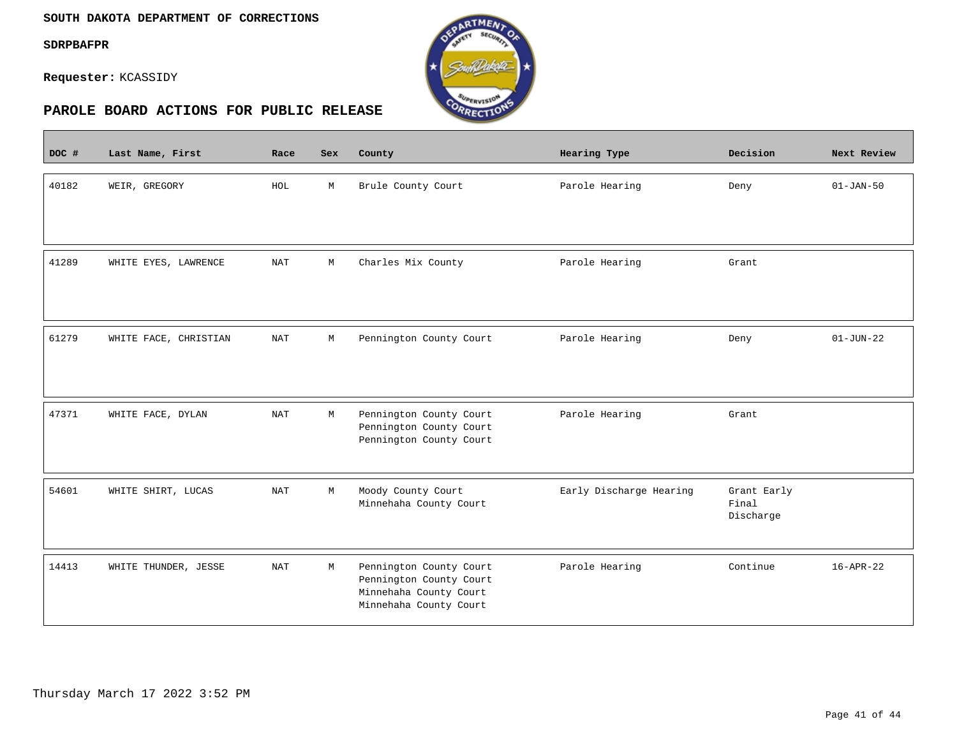$\overline{\phantom{a}}$ 

**Requester:** KCASSIDY



| DOC # | Last Name, First      | Race                 | Sex         | County                                                                                                 | Hearing Type            | Decision                          | Next Review     |
|-------|-----------------------|----------------------|-------------|--------------------------------------------------------------------------------------------------------|-------------------------|-----------------------------------|-----------------|
| 40182 | WEIR, GREGORY         | HOL                  | M           | Brule County Court                                                                                     | Parole Hearing          | Deny                              | $01 - JAN - 50$ |
| 41289 | WHITE EYES, LAWRENCE  | $\operatorname{NAT}$ | М           | Charles Mix County                                                                                     | Parole Hearing          | Grant                             |                 |
| 61279 | WHITE FACE, CHRISTIAN | <b>NAT</b>           | $\mathbb M$ | Pennington County Court                                                                                | Parole Hearing          | Deny                              | $01 - JUN - 22$ |
| 47371 | WHITE FACE, DYLAN     | $\operatorname{NAT}$ | M           | Pennington County Court<br>Pennington County Court<br>Pennington County Court                          | Parole Hearing          | Grant                             |                 |
| 54601 | WHITE SHIRT, LUCAS    | NAT                  | M           | Moody County Court<br>Minnehaha County Court                                                           | Early Discharge Hearing | Grant Early<br>Final<br>Discharge |                 |
| 14413 | WHITE THUNDER, JESSE  | NAT                  | М           | Pennington County Court<br>Pennington County Court<br>Minnehaha County Court<br>Minnehaha County Court | Parole Hearing          | Continue                          | $16 - APR - 22$ |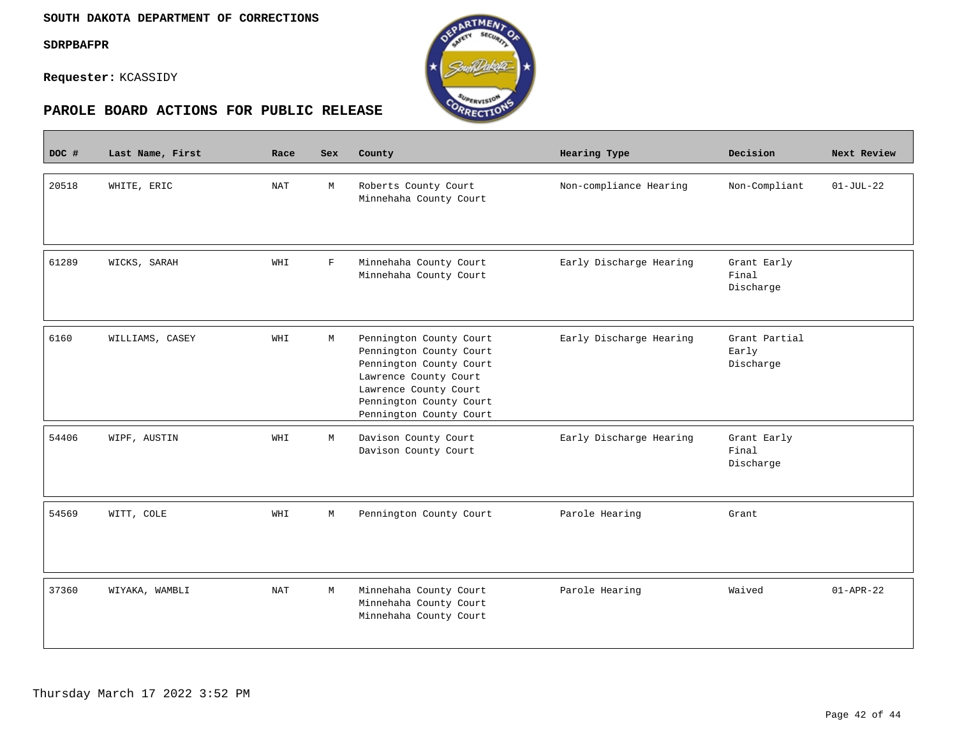**Contract** 

**Requester:** KCASSIDY



| DOC # | Last Name, First | Race | <b>Sex</b>  | County                                                                                                                                                                                | Hearing Type            | Decision                            | Next Review     |
|-------|------------------|------|-------------|---------------------------------------------------------------------------------------------------------------------------------------------------------------------------------------|-------------------------|-------------------------------------|-----------------|
| 20518 | WHITE, ERIC      | NAT  | M           | Roberts County Court<br>Minnehaha County Court                                                                                                                                        | Non-compliance Hearing  | Non-Compliant                       | $01 - JUL - 22$ |
| 61289 | WICKS, SARAH     | WHI  | $\mathbf F$ | Minnehaha County Court<br>Minnehaha County Court                                                                                                                                      | Early Discharge Hearing | Grant Early<br>Final<br>Discharge   |                 |
| 6160  | WILLIAMS, CASEY  | WHI  | М           | Pennington County Court<br>Pennington County Court<br>Pennington County Court<br>Lawrence County Court<br>Lawrence County Court<br>Pennington County Court<br>Pennington County Court | Early Discharge Hearing | Grant Partial<br>Early<br>Discharge |                 |
| 54406 | WIPF, AUSTIN     | WHI  | M           | Davison County Court<br>Davison County Court                                                                                                                                          | Early Discharge Hearing | Grant Early<br>Final<br>Discharge   |                 |
| 54569 | WITT, COLE       | WHI  | M           | Pennington County Court                                                                                                                                                               | Parole Hearing          | Grant                               |                 |
| 37360 | WIYAKA, WAMBLI   | NAT  | М           | Minnehaha County Court<br>Minnehaha County Court<br>Minnehaha County Court                                                                                                            | Parole Hearing          | Waived                              | $01 - APR - 22$ |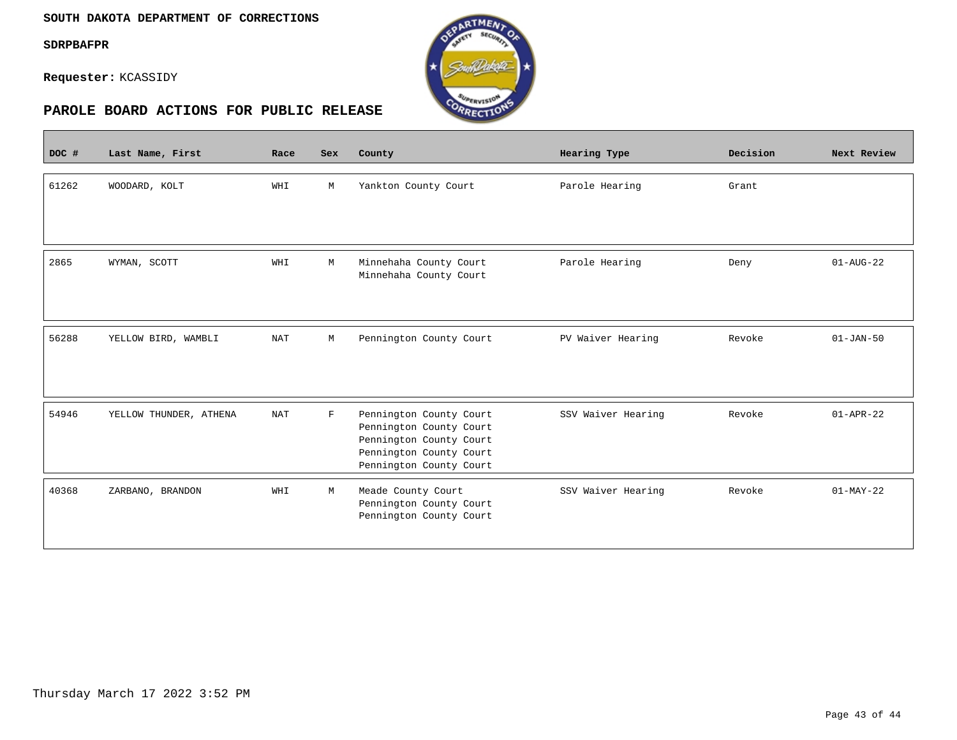#### **SOUTH DAKOTA DEPARTMENT OF CORRECTIONS**

**SDRPBAFPR**

 $\overline{\phantom{a}}$ 

**Requester:** KCASSIDY



| DOC # | Last Name, First       | Race       | <b>Sex</b>  | County                                                                                                                              | Hearing Type       | Decision | Next Review            |
|-------|------------------------|------------|-------------|-------------------------------------------------------------------------------------------------------------------------------------|--------------------|----------|------------------------|
| 61262 | WOODARD, KOLT          | WHI        | М           | Yankton County Court                                                                                                                | Parole Hearing     | Grant    |                        |
| 2865  | WYMAN, SCOTT           | WHI        | М           | Minnehaha County Court<br>Minnehaha County Court                                                                                    | Parole Hearing     | Deny     | $01 - \text{AUG} - 22$ |
| 56288 | YELLOW BIRD, WAMBLI    | <b>NAT</b> | М           | Pennington County Court                                                                                                             | PV Waiver Hearing  | Revoke   | $01 - JAN - 50$        |
| 54946 | YELLOW THUNDER, ATHENA | <b>NAT</b> | $\mathbf F$ | Pennington County Court<br>Pennington County Court<br>Pennington County Court<br>Pennington County Court<br>Pennington County Court | SSV Waiver Hearing | Revoke   | $01 - APR - 22$        |
| 40368 | ZARBANO, BRANDON       | WHI        | М           | Meade County Court<br>Pennington County Court<br>Pennington County Court                                                            | SSV Waiver Hearing | Revoke   | $01-MAY-22$            |